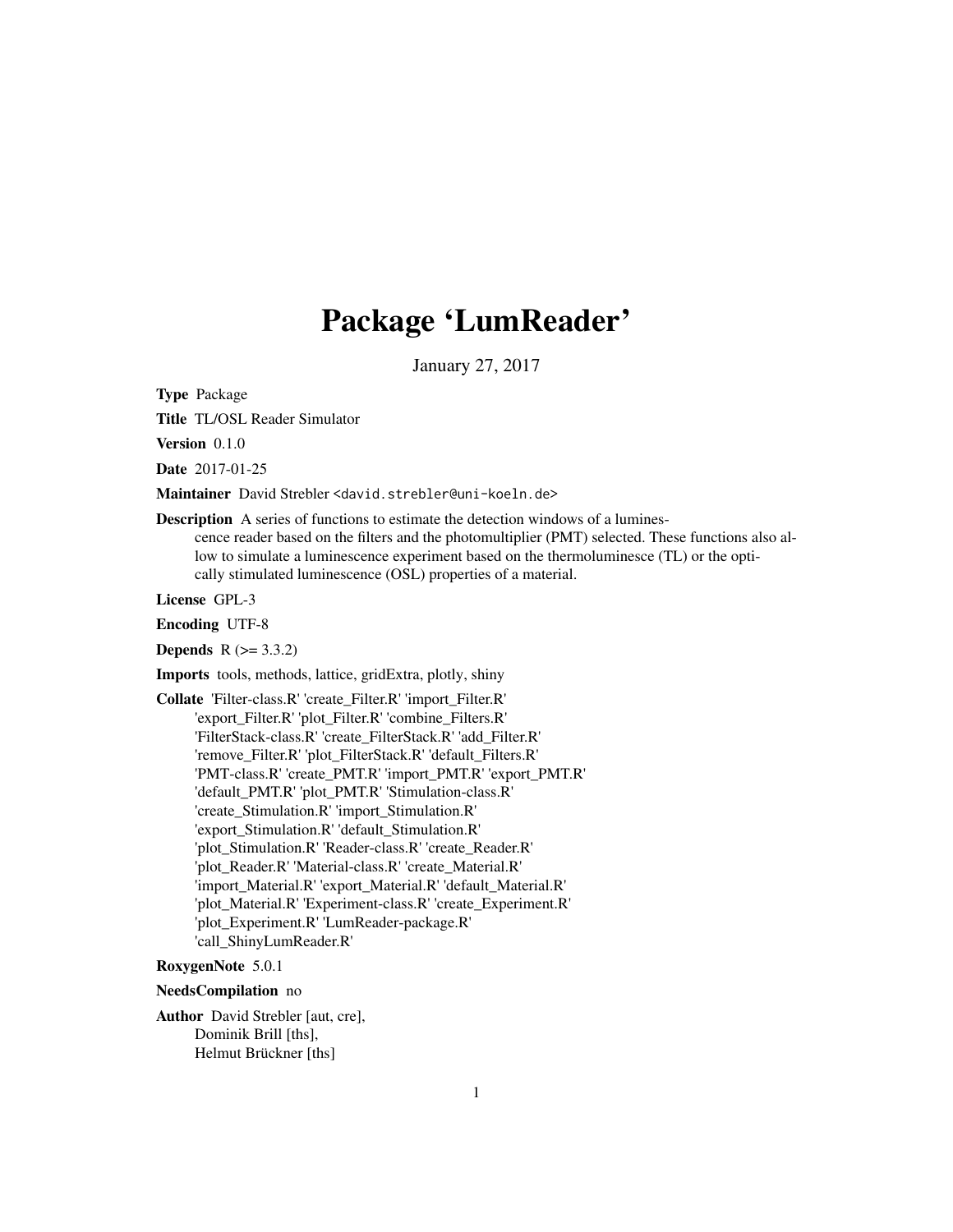# Package 'LumReader'

January 27, 2017

<span id="page-0-0"></span>Type Package

Title TL/OSL Reader Simulator

Version 0.1.0

Date 2017-01-25

Maintainer David Strebler <david.strebler@uni-koeln.de>

Description A series of functions to estimate the detection windows of a luminescence reader based on the filters and the photomultiplier (PMT) selected. These functions also allow to simulate a luminescence experiment based on the thermoluminesce (TL) or the optically stimulated luminescence (OSL) properties of a material.

License GPL-3

Encoding UTF-8

**Depends**  $R (= 3.3.2)$ 

Imports tools, methods, lattice, gridExtra, plotly, shiny

Collate 'Filter-class.R' 'create\_Filter.R' 'import\_Filter.R' 'export\_Filter.R' 'plot\_Filter.R' 'combine\_Filters.R' 'FilterStack-class.R' 'create\_FilterStack.R' 'add\_Filter.R' 'remove\_Filter.R' 'plot\_FilterStack.R' 'default\_Filters.R' 'PMT-class.R' 'create\_PMT.R' 'import\_PMT.R' 'export\_PMT.R' 'default\_PMT.R' 'plot\_PMT.R' 'Stimulation-class.R' 'create\_Stimulation.R' 'import\_Stimulation.R' 'export\_Stimulation.R' 'default\_Stimulation.R' 'plot\_Stimulation.R' 'Reader-class.R' 'create\_Reader.R' 'plot\_Reader.R' 'Material-class.R' 'create\_Material.R' 'import\_Material.R' 'export\_Material.R' 'default\_Material.R' 'plot\_Material.R' 'Experiment-class.R' 'create\_Experiment.R' 'plot\_Experiment.R' 'LumReader-package.R' 'call\_ShinyLumReader.R'

## RoxygenNote 5.0.1

NeedsCompilation no

Author David Strebler [aut, cre], Dominik Brill [ths], Helmut Brückner [ths]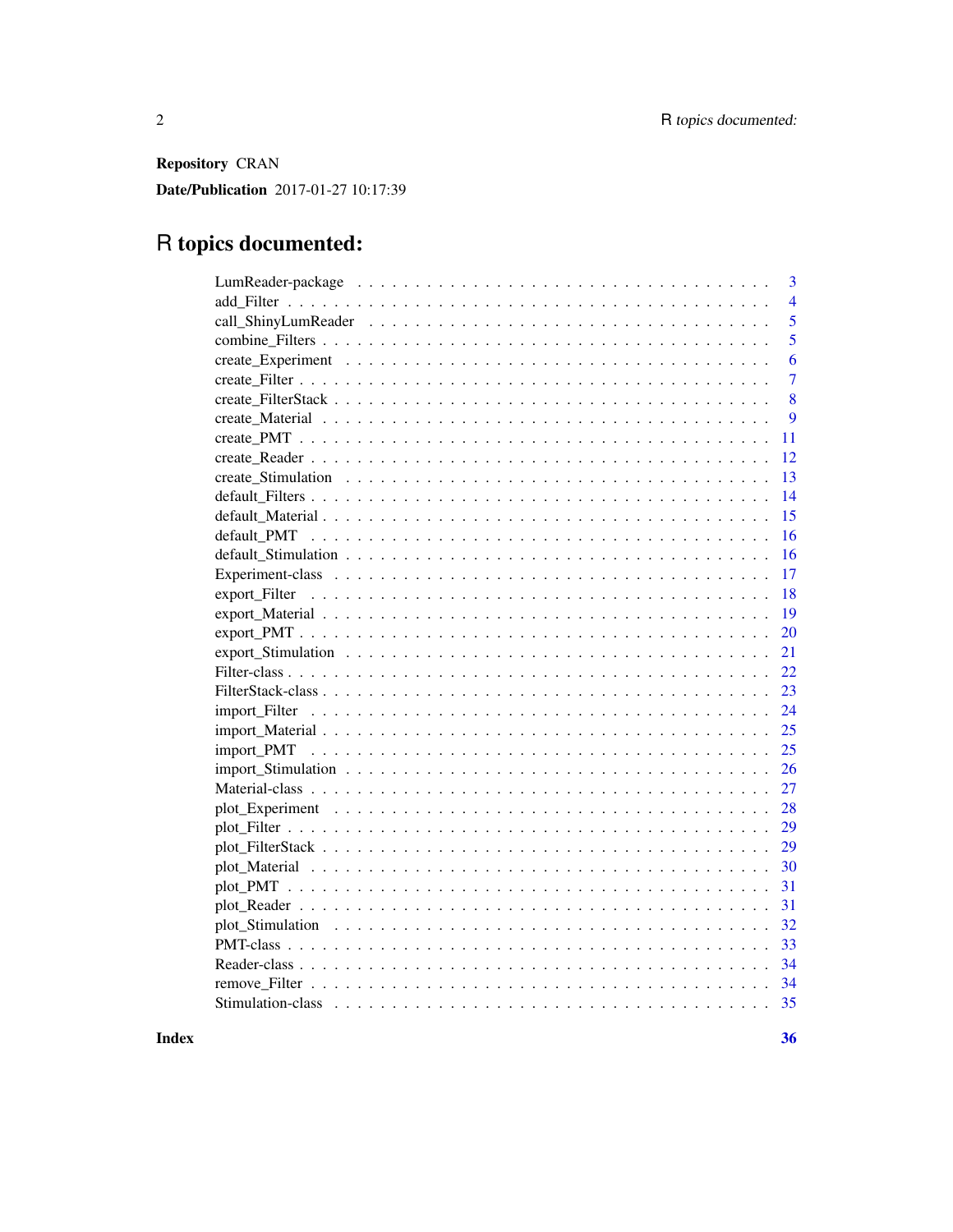Repository CRAN

Date/Publication 2017-01-27 10:17:39

## R topics documented:

| $\overline{3}$ |
|----------------|
| $\overline{4}$ |
| 5              |
| 5              |
| 6              |
| $\overline{7}$ |
| 8              |
| 9              |
| 11             |
| 12             |
| 13             |
| 14             |
| 15             |
| 16             |
| 16             |
| 17             |
| 18             |
| 19             |
| 20             |
| 21             |
| 22             |
| 23             |
| 24             |
| 25             |
| 25             |
| 26             |
| 27             |
| 28             |
| 29             |
| 29             |
| 30             |
| 31             |
| 31             |
| 32             |
| 33             |
| 34             |
|                |
|                |
|                |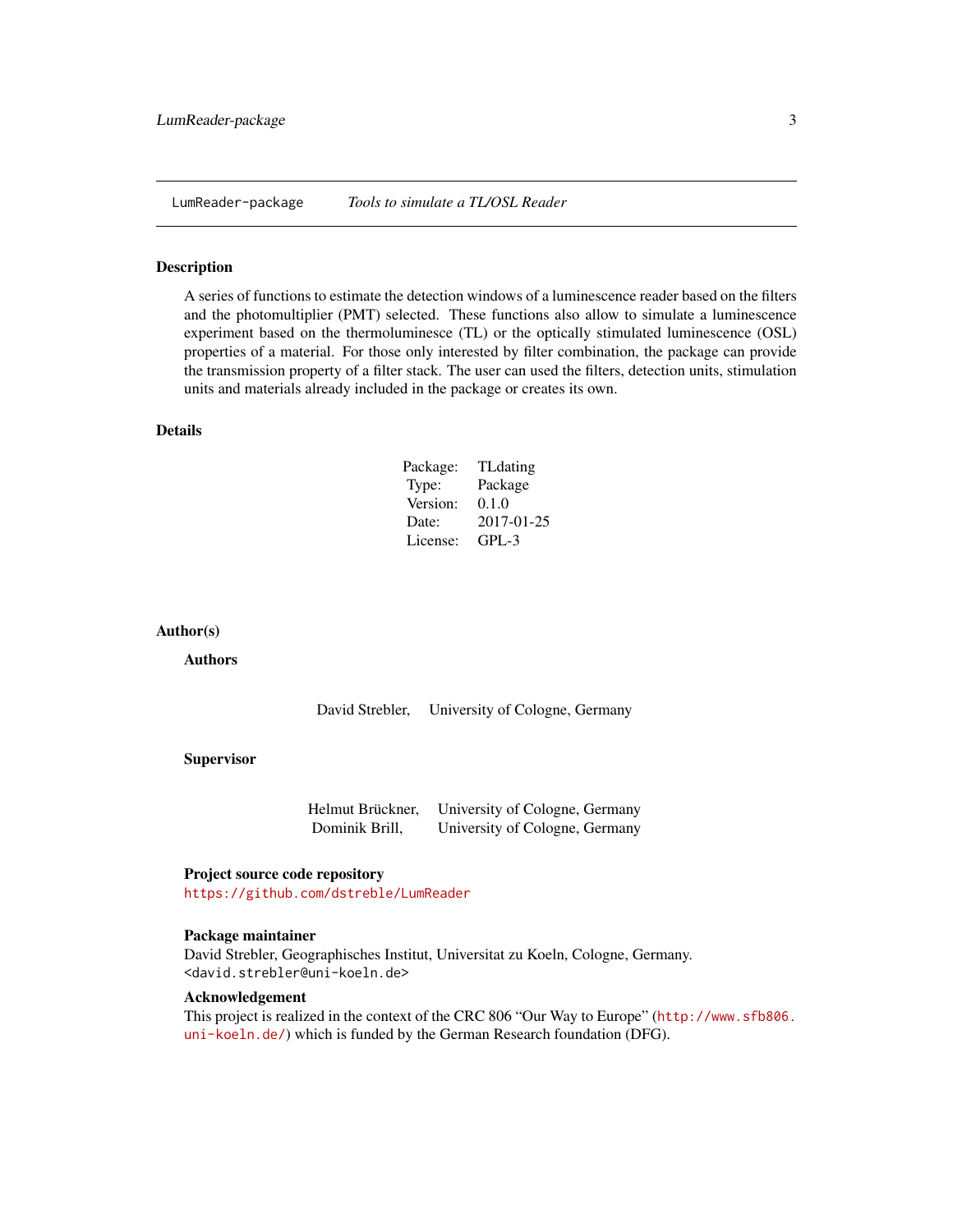<span id="page-2-0"></span>LumReader-package *Tools to simulate a TL/OSL Reader*

#### Description

A series of functions to estimate the detection windows of a luminescence reader based on the filters and the photomultiplier (PMT) selected. These functions also allow to simulate a luminescence experiment based on the thermoluminesce (TL) or the optically stimulated luminescence (OSL) properties of a material. For those only interested by filter combination, the package can provide the transmission property of a filter stack. The user can used the filters, detection units, stimulation units and materials already included in the package or creates its own.

## Details

| Package: | <b>TL</b> dating |
|----------|------------------|
| Type:    | Package          |
| Version: | 0.1.0            |
| Date:    | 2017-01-25       |
| License: | $GPI - 3$        |

#### Author(s)

Authors

David Strebler, University of Cologne, Germany

#### Supervisor

| Helmut Brückner, | University of Cologne, Germany |
|------------------|--------------------------------|
| Dominik Brill,   | University of Cologne, Germany |

#### Project source code repository

<https://github.com/dstreble/LumReader>

#### Package maintainer

David Strebler, Geographisches Institut, Universitat zu Koeln, Cologne, Germany. <david.strebler@uni-koeln.de>

#### Acknowledgement

This project is realized in the context of the CRC 806 "Our Way to Europe" ([http://www.sfb806.](http://www.sfb806.uni-koeln.de/) [uni-koeln.de/](http://www.sfb806.uni-koeln.de/)) which is funded by the German Research foundation (DFG).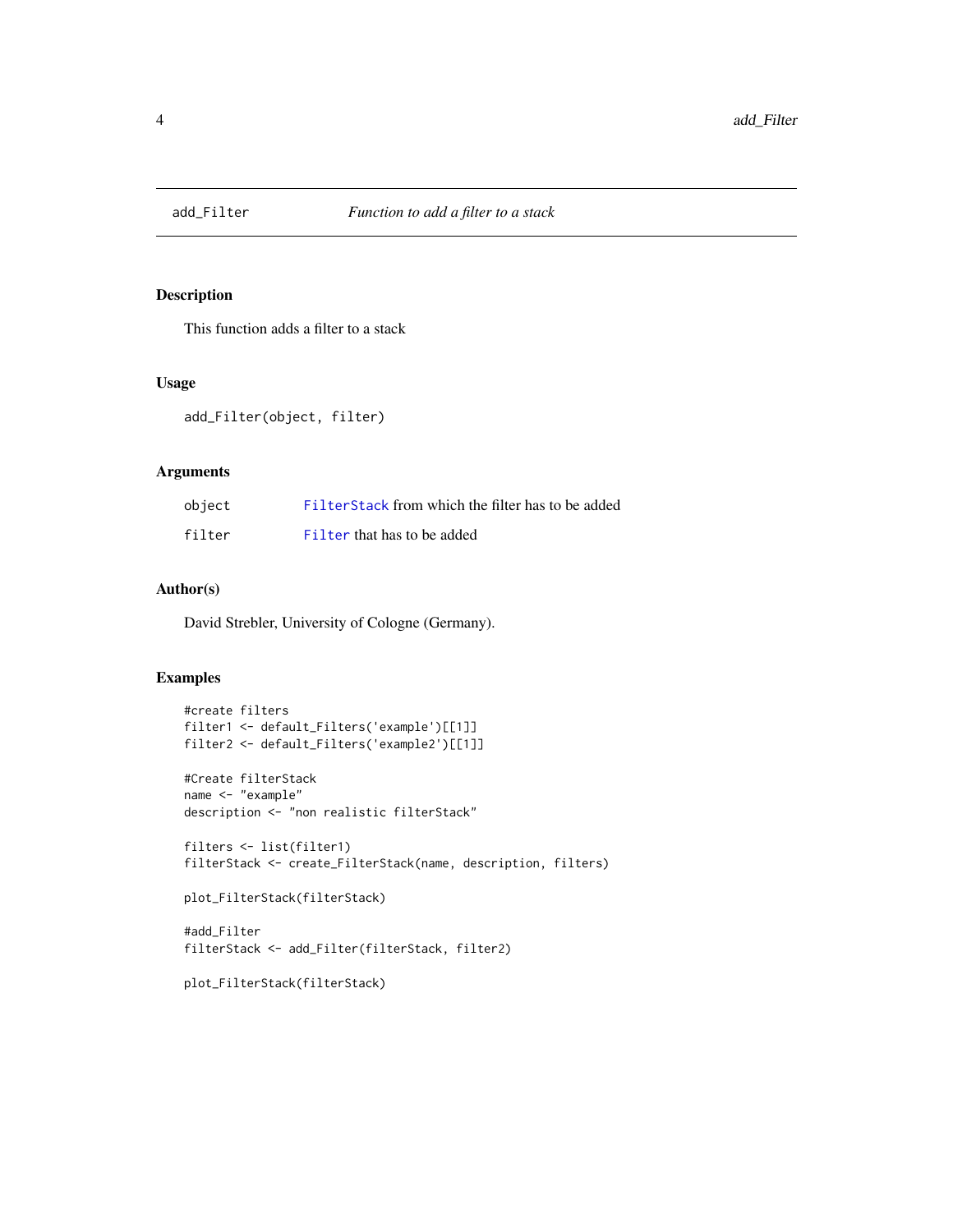<span id="page-3-0"></span>

## Description

This function adds a filter to a stack

#### Usage

add\_Filter(object, filter)

## Arguments

| object | Filter Stack from which the filter has to be added |
|--------|----------------------------------------------------|
| filter | Filter that has to be added                        |

## Author(s)

David Strebler, University of Cologne (Germany).

## Examples

```
#create filters
filter1 <- default_Filters('example')[[1]]
filter2 <- default_Filters('example2')[[1]]
#Create filterStack
name <- "example"
description <- "non realistic filterStack"
filters <- list(filter1)
filterStack <- create_FilterStack(name, description, filters)
plot_FilterStack(filterStack)
#add_Filter
filterStack <- add_Filter(filterStack, filter2)
```
plot\_FilterStack(filterStack)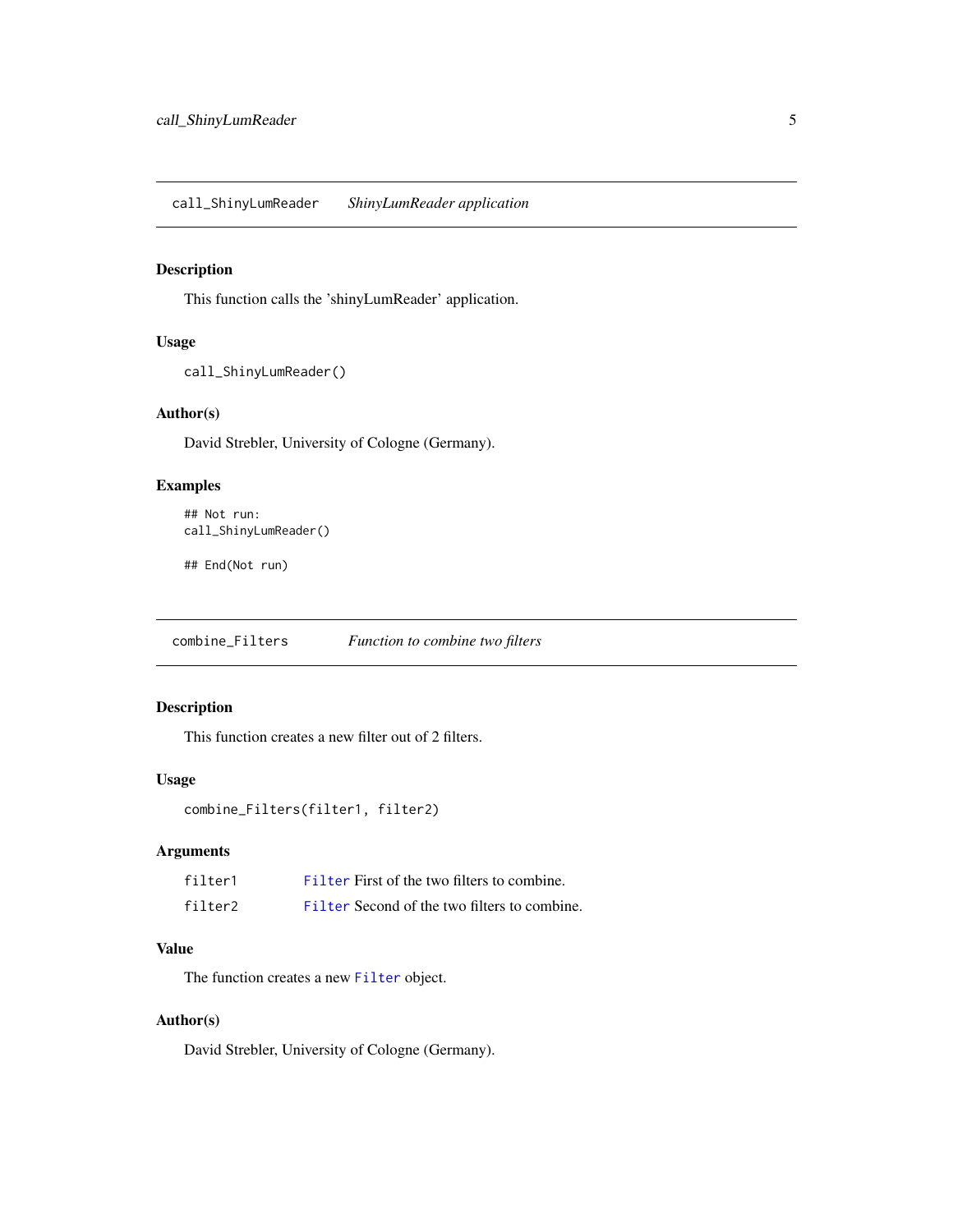<span id="page-4-0"></span>call\_ShinyLumReader *ShinyLumReader application*

## Description

This function calls the 'shinyLumReader' application.

## Usage

```
call_ShinyLumReader()
```
## Author(s)

David Strebler, University of Cologne (Germany).

## Examples

```
## Not run:
call_ShinyLumReader()
```
## End(Not run)

combine\_Filters *Function to combine two filters*

## Description

This function creates a new filter out of 2 filters.

## Usage

```
combine_Filters(filter1, filter2)
```
## Arguments

| filter1 | Filter First of the two filters to combine.  |
|---------|----------------------------------------------|
| filter2 | Filter Second of the two filters to combine. |

#### Value

The function creates a new [Filter](#page-21-1) object.

## Author(s)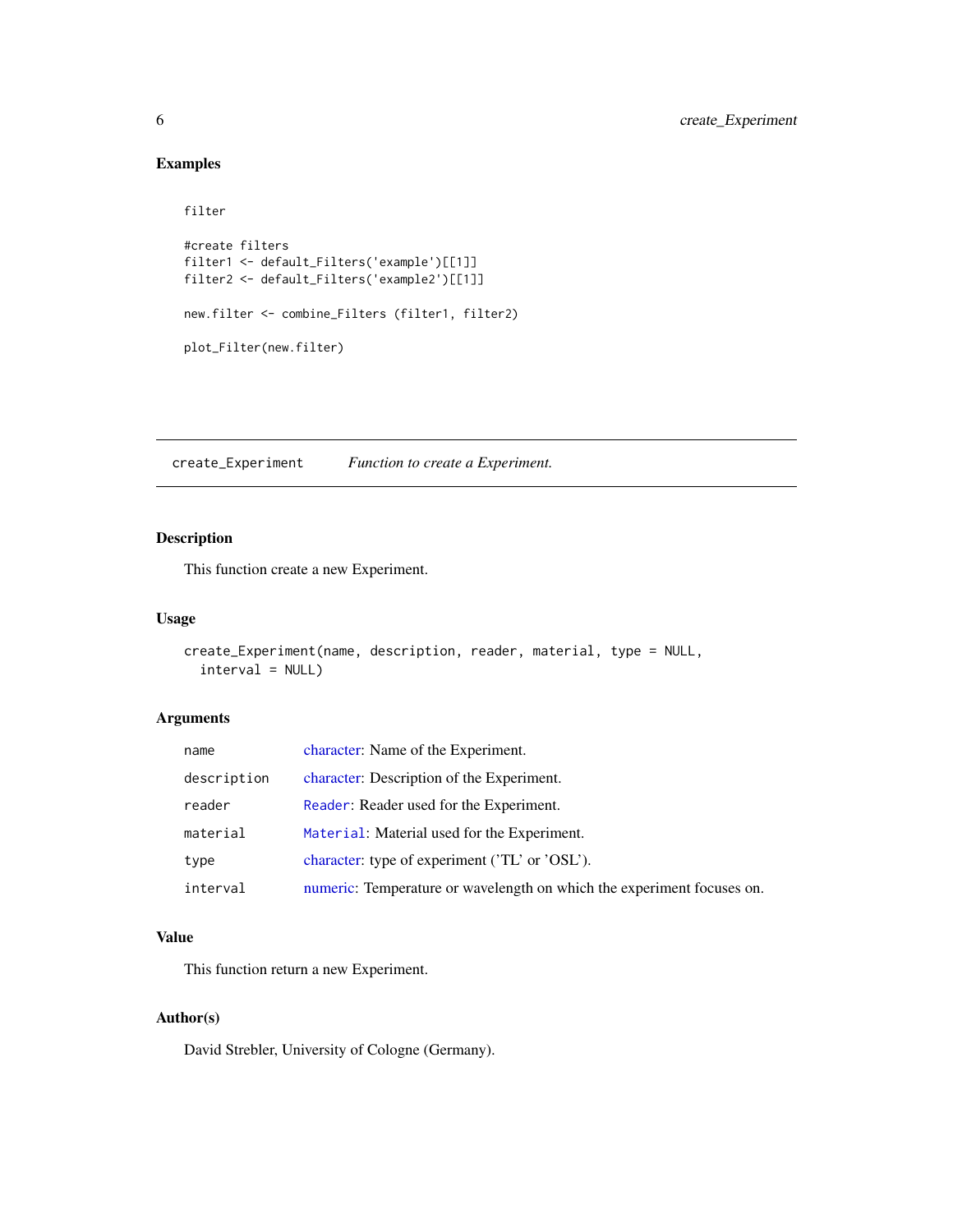## Examples

```
filter
#create filters
filter1 <- default_Filters('example')[[1]]
filter2 <- default_Filters('example2')[[1]]
new.filter <- combine_Filters (filter1, filter2)
plot_Filter(new.filter)
```
create\_Experiment *Function to create a Experiment.*

## Description

This function create a new Experiment.

#### Usage

```
create_Experiment(name, description, reader, material, type = NULL,
  interval = NULL)
```
## Arguments

| name        | character: Name of the Experiment.                                     |
|-------------|------------------------------------------------------------------------|
| description | character: Description of the Experiment.                              |
| reader      | Reader: Reader used for the Experiment.                                |
| material    | Material: Material used for the Experiment.                            |
| type        | character: type of experiment ('TL' or 'OSL').                         |
| interval    | numeric: Temperature or wavelength on which the experiment focuses on. |

## Value

This function return a new Experiment.

## Author(s)

<span id="page-5-0"></span>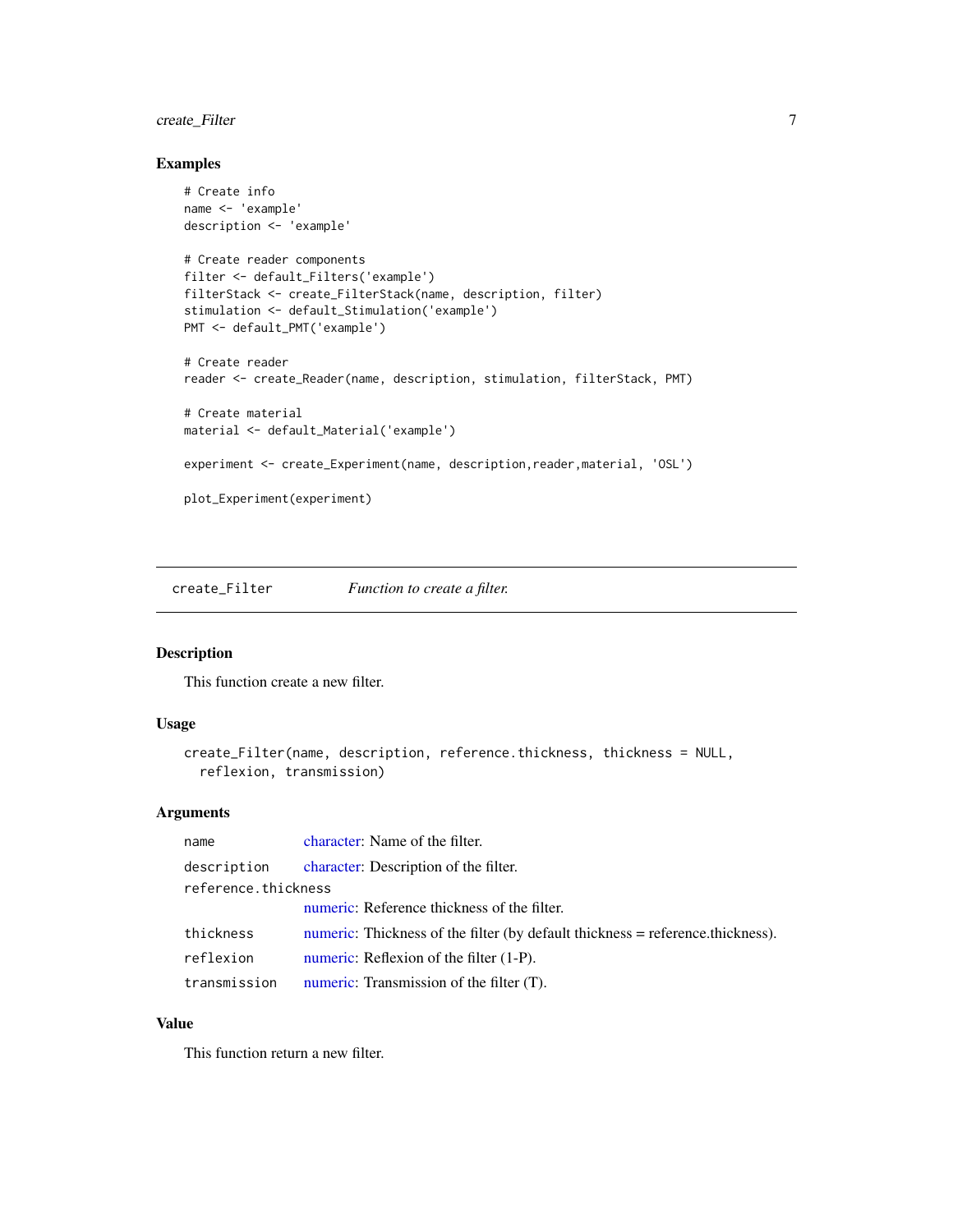## <span id="page-6-0"></span>create\_Filter 7

## Examples

```
# Create info
name <- 'example'
description <- 'example'
# Create reader components
filter <- default_Filters('example')
filterStack <- create_FilterStack(name, description, filter)
stimulation <- default_Stimulation('example')
PMT <- default_PMT('example')
# Create reader
reader <- create_Reader(name, description, stimulation, filterStack, PMT)
# Create material
material <- default_Material('example')
experiment <- create_Experiment(name, description,reader,material, 'OSL')
plot_Experiment(experiment)
```
create\_Filter *Function to create a filter.*

## Description

This function create a new filter.

#### Usage

```
create_Filter(name, description, reference.thickness, thickness = NULL,
  reflexion, transmission)
```
#### Arguments

| name                | character: Name of the filter.                                                 |  |
|---------------------|--------------------------------------------------------------------------------|--|
| description         | character: Description of the filter.                                          |  |
| reference.thickness |                                                                                |  |
|                     | numeric: Reference thickness of the filter.                                    |  |
| thickness           | numeric: Thickness of the filter (by default thickness = reference.thickness). |  |
| reflexion           | numeric: Reflexion of the filter (1-P).                                        |  |
| transmission        | numeric: Transmission of the filter (T).                                       |  |

## Value

This function return a new filter.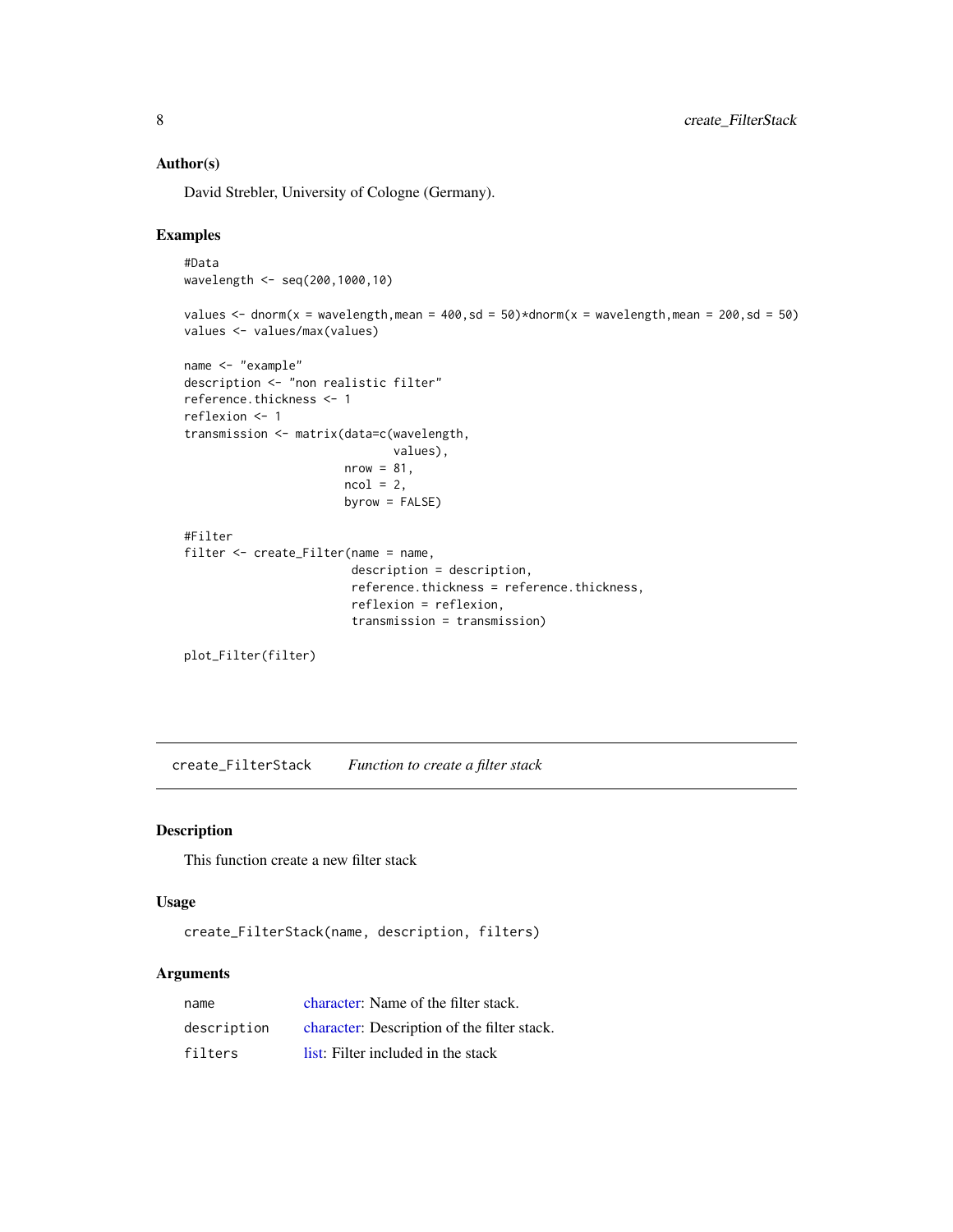## <span id="page-7-0"></span>Author(s)

David Strebler, University of Cologne (Germany).

## Examples

```
#Data
wavelength <- seq(200,1000,10)
values \le dnorm(x = wavelength, mean = 400, sd = 50)\stardnorm(x = wavelength, mean = 200, sd = 50)
values <- values/max(values)
name <- "example"
description <- "non realistic filter"
reference.thickness <- 1
reflexion <- 1
transmission <- matrix(data=c(wavelength,
                               values),
                       nrow = 81,
                       ncol = 2,
                       byrow = FALSE)
#Filter
filter <- create_Filter(name = name,
                        description = description,
                        reference.thickness = reference.thickness,
                        reflexion = reflexion,
                        transmission = transmission)
plot_Filter(filter)
```
create\_FilterStack *Function to create a filter stack*

#### Description

This function create a new filter stack

#### Usage

create\_FilterStack(name, description, filters)

## Arguments

| name        | character: Name of the filter stack.        |
|-------------|---------------------------------------------|
| description | character: Description of the filter stack. |
| filters     | list: Filter included in the stack          |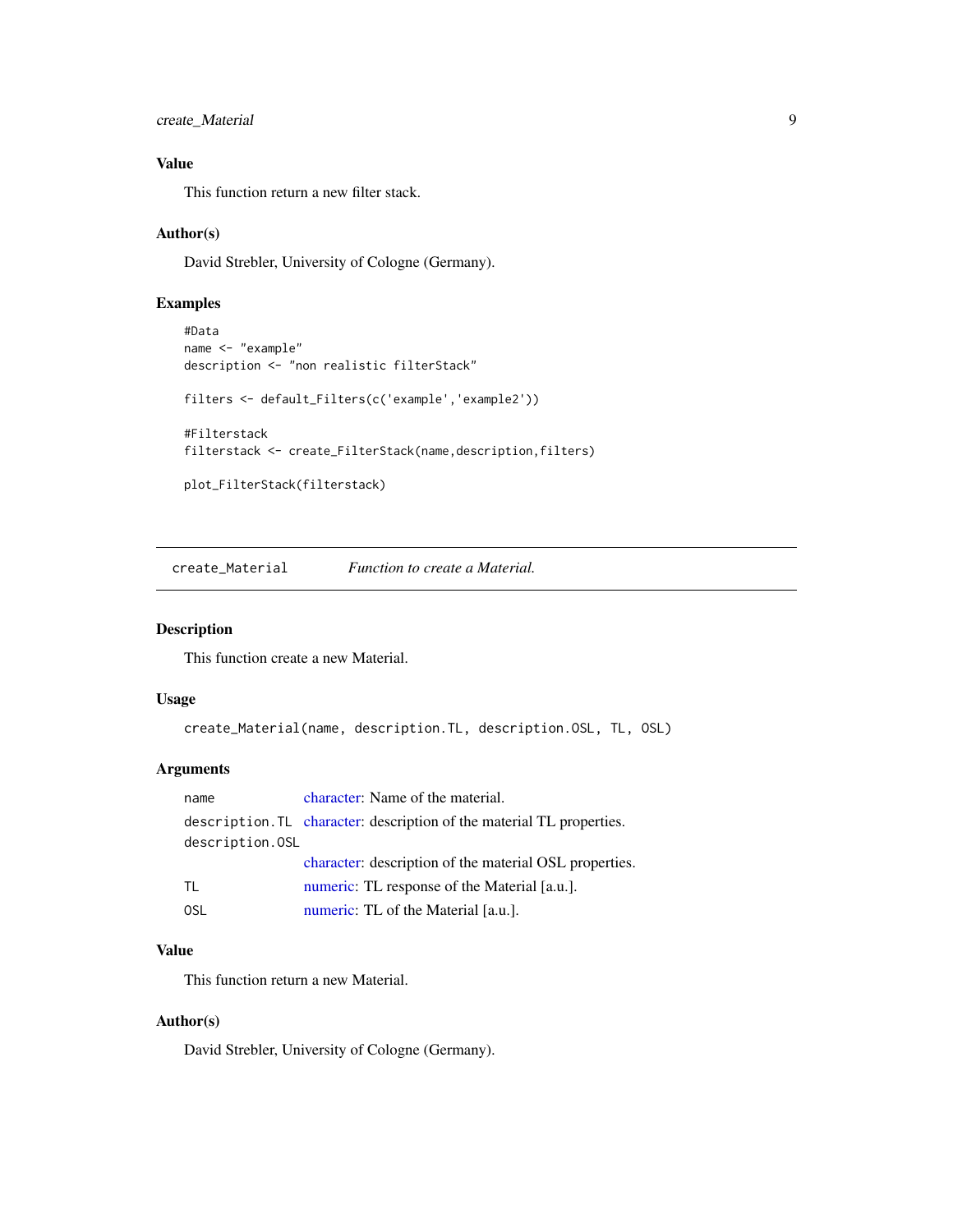```
create_Material 9
```
## Value

This function return a new filter stack.

#### Author(s)

David Strebler, University of Cologne (Germany).

## Examples

```
#Data
name <- "example"
description <- "non realistic filterStack"
filters <- default_Filters(c('example','example2'))
#Filterstack
filterstack <- create_FilterStack(name,description,filters)
plot_FilterStack(filterstack)
```
create\_Material *Function to create a Material.*

## Description

This function create a new Material.

## Usage

```
create_Material(name, description.TL, description.OSL, TL, OSL)
```
## Arguments

| name            | character: Name of the material.                                      |
|-----------------|-----------------------------------------------------------------------|
|                 | description. TL character: description of the material TL properties. |
| description.0SL |                                                                       |
|                 | character: description of the material OSL properties.                |
| TL              | numeric: TL response of the Material [a.u.].                          |
| 0SL             | numeric: TL of the Material [a.u.].                                   |

## Value

This function return a new Material.

## Author(s)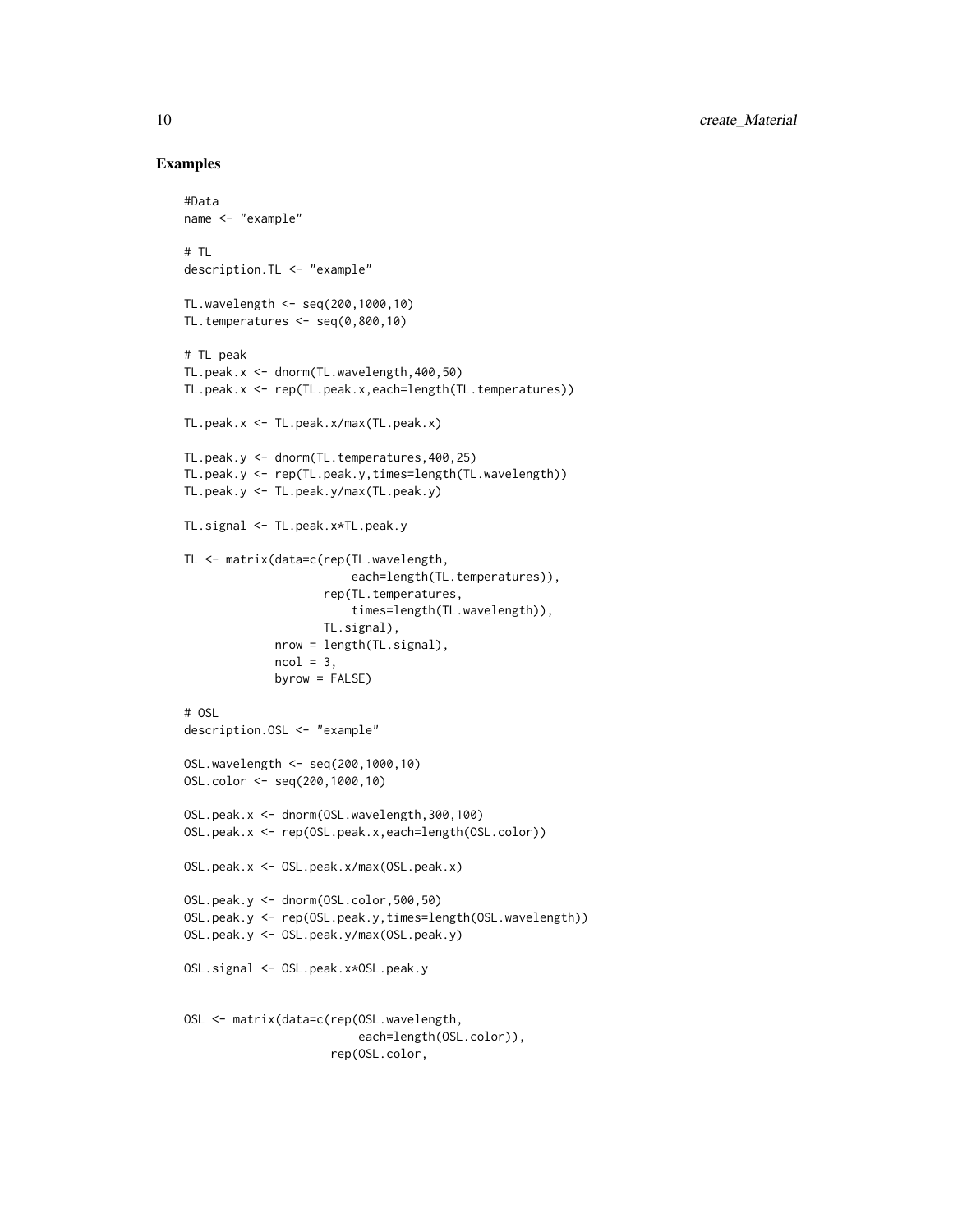### Examples

```
#Data
name <- "example"
# TL
description.TL <- "example"
TL.wavelength <- seq(200,1000,10)
TL.temperatures <- seq(0,800,10)
# TL peak
TL.peak.x <- dnorm(TL.wavelength,400,50)
TL.peak.x <- rep(TL.peak.x,each=length(TL.temperatures))
TL.peak.x <- TL.peak.x/max(TL.peak.x)
TL.peak.y <- dnorm(TL.temperatures,400,25)
TL.peak.y <- rep(TL.peak.y,times=length(TL.wavelength))
TL.peak.y <- TL.peak.y/max(TL.peak.y)
TL.signal <- TL.peak.x*TL.peak.y
TL <- matrix(data=c(rep(TL.wavelength,
                        each=length(TL.temperatures)),
                    rep(TL.temperatures,
                        times=length(TL.wavelength)),
                    TL.signal),
             nrow = length(TL.signal),
             ncol = 3,
             byrow = FALSE)
# OSL
description.OSL <- "example"
OSL.wavelength <- seq(200,1000,10)
OSL.color <- seq(200,1000,10)
OSL.peak.x <- dnorm(OSL.wavelength,300,100)
OSL.peak.x <- rep(OSL.peak.x,each=length(OSL.color))
OSL.peak.x <- OSL.peak.x/max(OSL.peak.x)
OSL.peak.y <- dnorm(OSL.color,500,50)
OSL.peak.y <- rep(OSL.peak.y,times=length(OSL.wavelength))
OSL.peak.y <- OSL.peak.y/max(OSL.peak.y)
OSL.signal <- OSL.peak.x*OSL.peak.y
OSL <- matrix(data=c(rep(OSL.wavelength,
                         each=length(OSL.color)),
                     rep(OSL.color,
```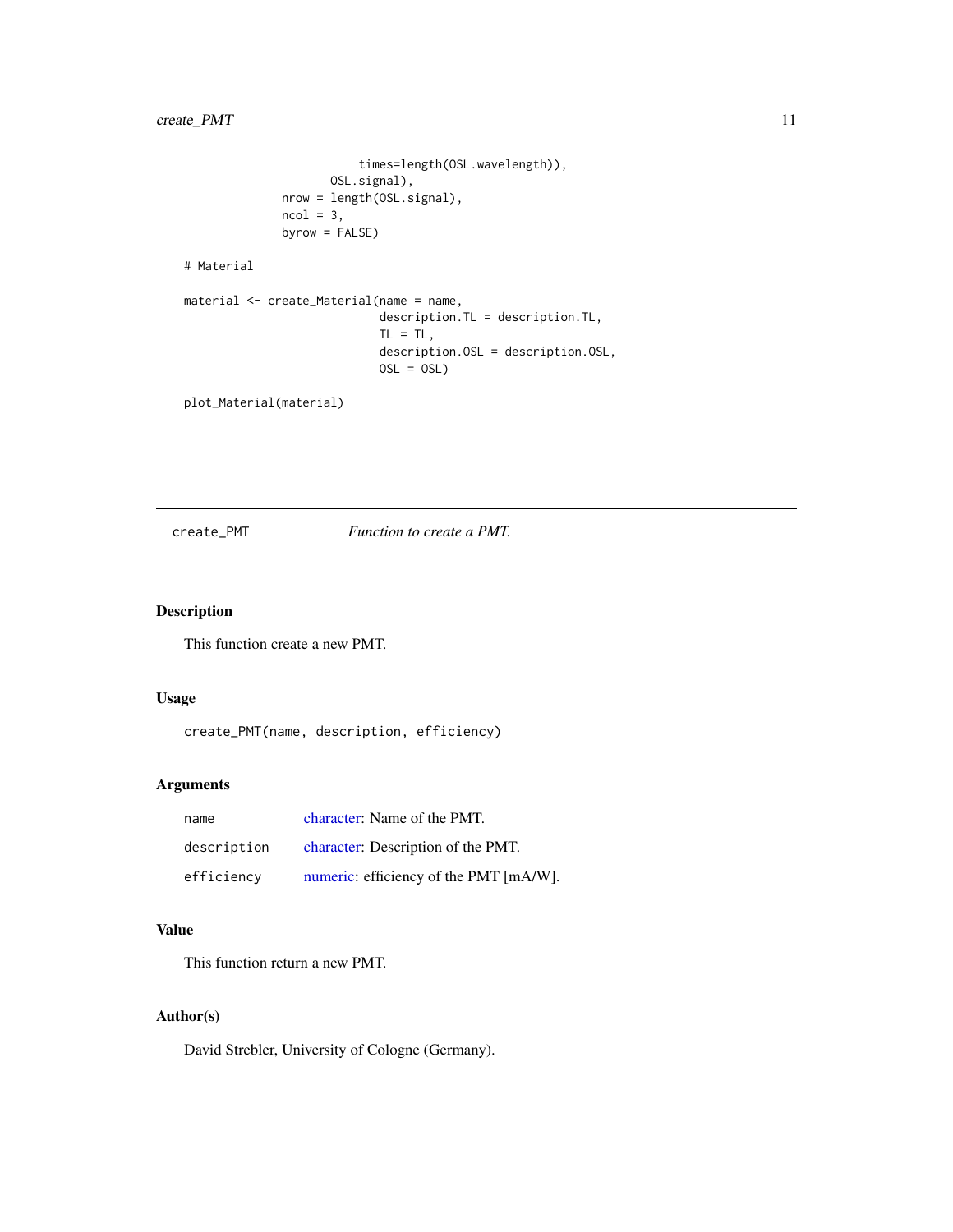## <span id="page-10-0"></span>create\_PMT 11

```
times=length(OSL.wavelength)),
                     OSL.signal),
              nrow = length(OSL.signal),
              ncol = 3,
             byrow = FALSE)
# Material
material <- create_Material(name = name,
```

```
description. TL = description. TL,
TL = TL,
description.OSL = description.OSL,
OSL = OSL)
```
plot\_Material(material)

create\_PMT *Function to create a PMT.*

#### Description

This function create a new PMT.

#### Usage

create\_PMT(name, description, efficiency)

## Arguments

| name        | character: Name of the PMT.            |
|-------------|----------------------------------------|
| description | character: Description of the PMT.     |
| efficiency  | numeric: efficiency of the PMT [mA/W]. |

## Value

This function return a new PMT.

## Author(s)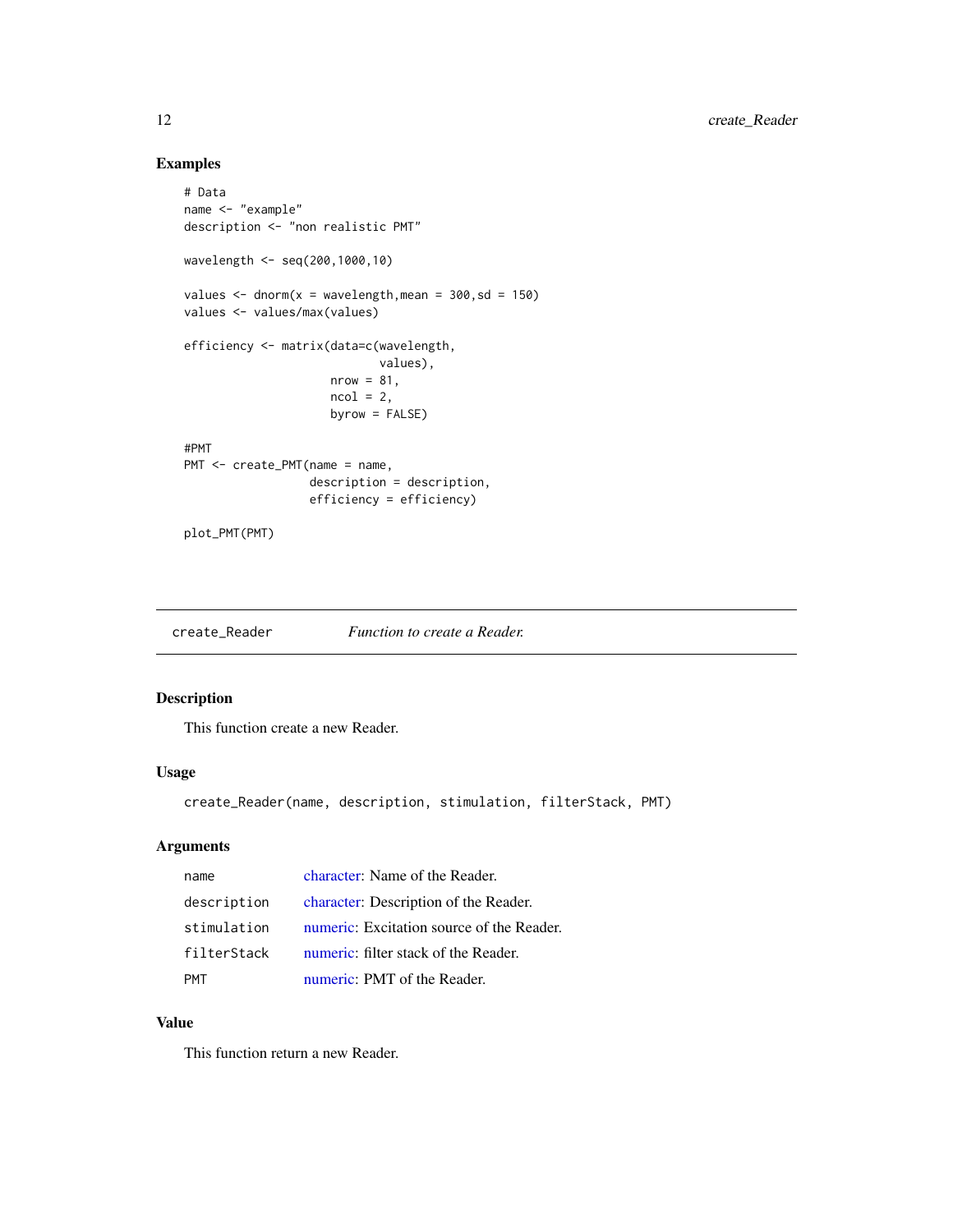## Examples

```
# Data
name <- "example"
description <- "non realistic PMT"
wavelength <- seq(200,1000,10)
values \le - dnorm(x = wavelength, mean = 300, sd = 150)
values <- values/max(values)
efficiency <- matrix(data=c(wavelength,
                            values),
                     nrow = 81,ncol = 2,
                     byrow = FALSE)
#PMT
PMT <- create_PMT(name = name,
                  description = description,
                  efficiency = efficiency)
plot_PMT(PMT)
```
create\_Reader *Function to create a Reader.*

## Description

This function create a new Reader.

## Usage

create\_Reader(name, description, stimulation, filterStack, PMT)

## Arguments

| name        | character: Name of the Reader.            |
|-------------|-------------------------------------------|
| description | character: Description of the Reader.     |
| stimulation | numeric: Excitation source of the Reader. |
| filterStack | numeric: filter stack of the Reader.      |
| <b>PMT</b>  | numeric: PMT of the Reader.               |

## Value

This function return a new Reader.

<span id="page-11-0"></span>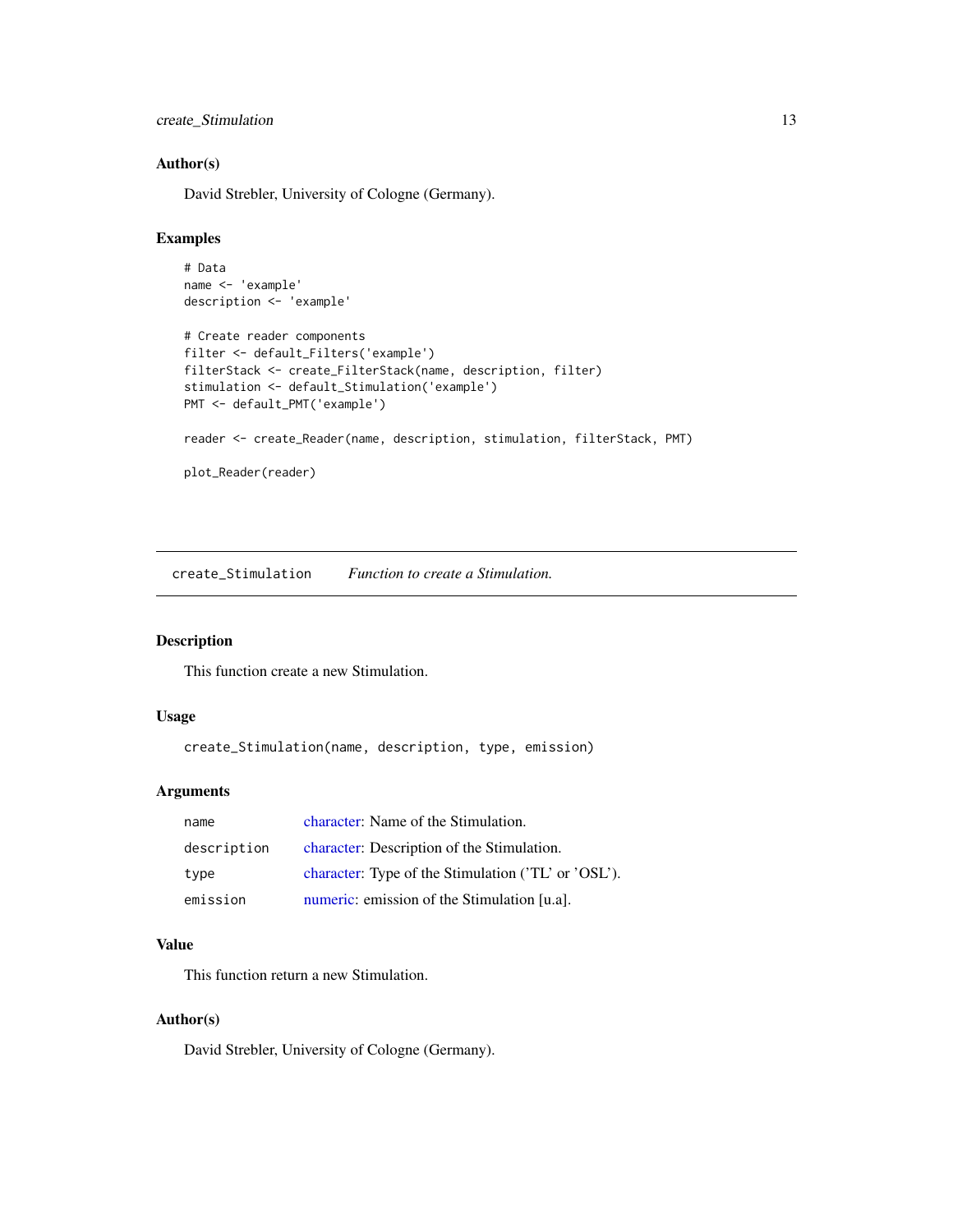<span id="page-12-0"></span>create\_Stimulation 13

## Author(s)

David Strebler, University of Cologne (Germany).

## Examples

```
# Data
name <- 'example'
description <- 'example'
# Create reader components
filter <- default_Filters('example')
filterStack <- create_FilterStack(name, description, filter)
stimulation <- default_Stimulation('example')
PMT <- default_PMT('example')
reader <- create_Reader(name, description, stimulation, filterStack, PMT)
plot_Reader(reader)
```
create\_Stimulation *Function to create a Stimulation.*

## Description

This function create a new Stimulation.

#### Usage

create\_Stimulation(name, description, type, emission)

#### Arguments

| name        | character: Name of the Stimulation.                 |
|-------------|-----------------------------------------------------|
| description | character: Description of the Stimulation.          |
| type        | character: Type of the Stimulation ('TL' or 'OSL'). |
| emission    | numeric: emission of the Stimulation [u.a].         |

#### Value

This function return a new Stimulation.

## Author(s)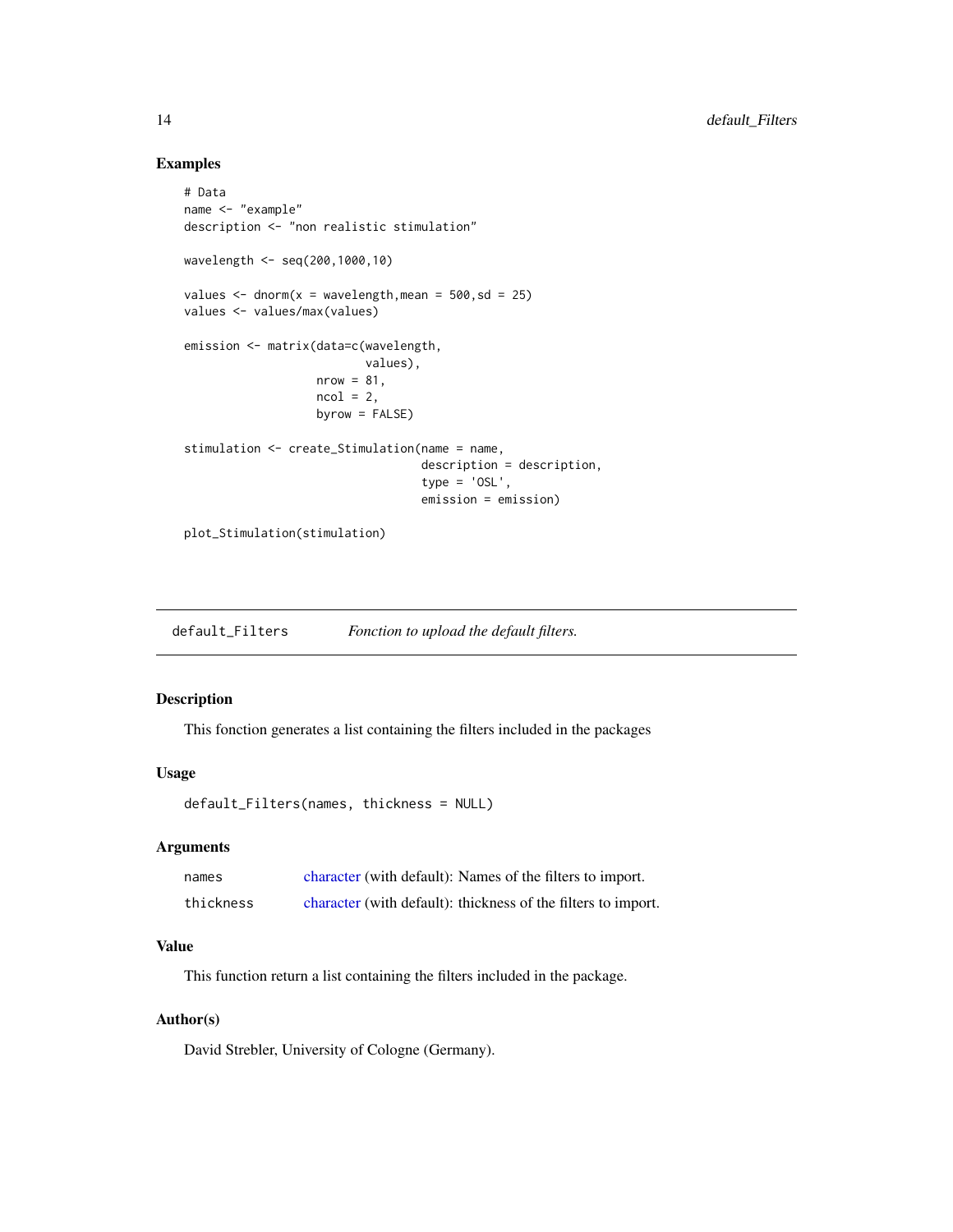## Examples

```
# Data
name <- "example"
description <- "non realistic stimulation"
wavelength <- seq(200,1000,10)
values \le - dnorm(x = wavelength, mean = 500, sd = 25)
values <- values/max(values)
emission <- matrix(data=c(wavelength,
                          values),
                   nrow = 81,
                   ncol = 2,
                   byrow = FALSE)
stimulation <- create_Stimulation(name = name,
                                  description = description,
                                  type = 'OSL',
                                  emission = emission)
plot_Stimulation(stimulation)
```
default\_Filters *Fonction to upload the default filters.*

## Description

This fonction generates a list containing the filters included in the packages

#### Usage

default\_Filters(names, thickness = NULL)

## Arguments

| names     | character (with default): Names of the filters to import.     |
|-----------|---------------------------------------------------------------|
| thickness | character (with default): thickness of the filters to import. |

## Value

This function return a list containing the filters included in the package.

## Author(s)

<span id="page-13-0"></span>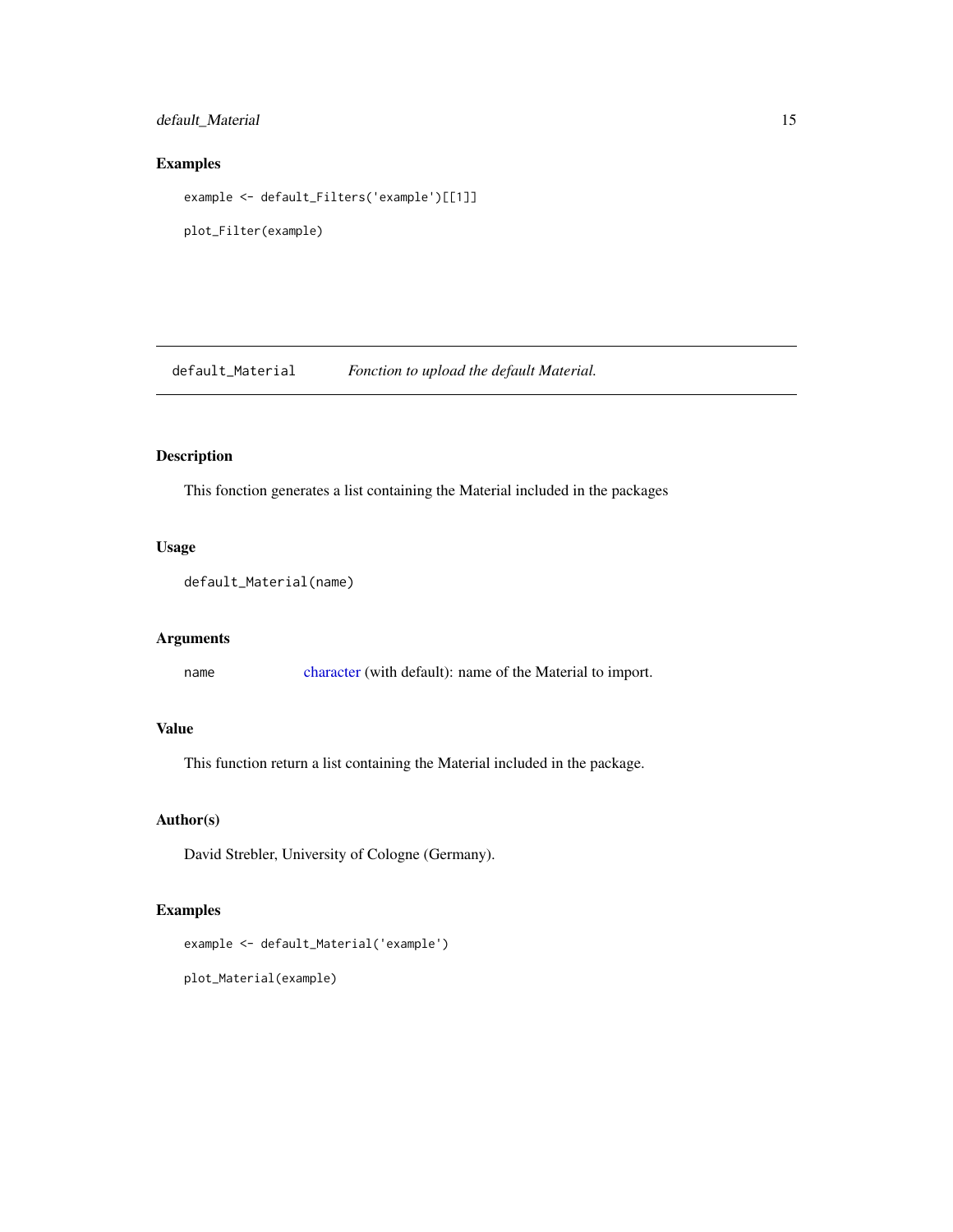## <span id="page-14-0"></span>default\_Material 15

## Examples

example <- default\_Filters('example')[[1]]

plot\_Filter(example)

default\_Material *Fonction to upload the default Material.*

## Description

This fonction generates a list containing the Material included in the packages

## Usage

```
default_Material(name)
```
## Arguments

name [character](#page-0-0) (with default): name of the Material to import.

## Value

This function return a list containing the Material included in the package.

## Author(s)

David Strebler, University of Cologne (Germany).

## Examples

example <- default\_Material('example')

plot\_Material(example)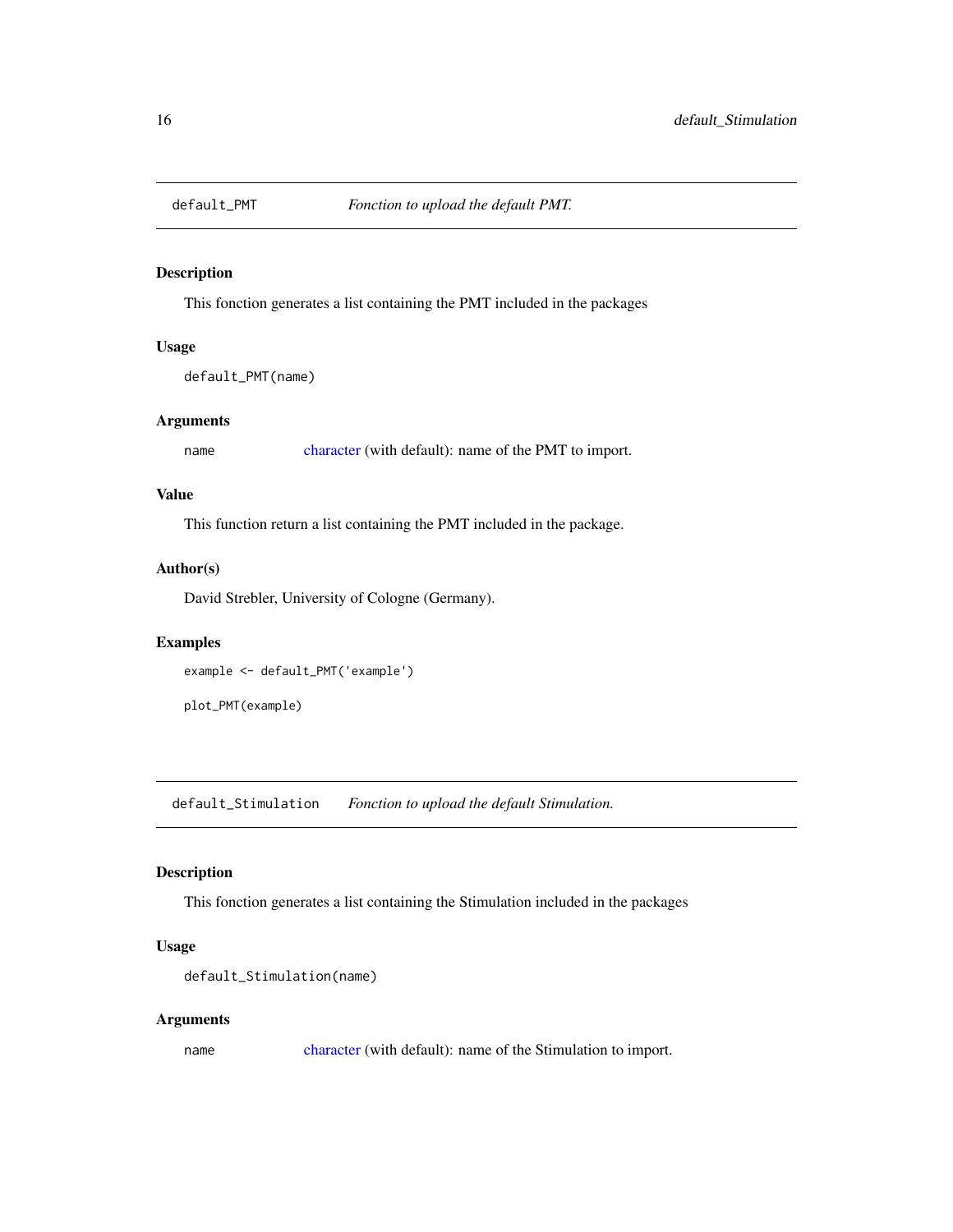<span id="page-15-0"></span>

## Description

This fonction generates a list containing the PMT included in the packages

## Usage

default\_PMT(name)

## Arguments

name [character](#page-0-0) (with default): name of the PMT to import.

## Value

This function return a list containing the PMT included in the package.

## Author(s)

David Strebler, University of Cologne (Germany).

## Examples

```
example <- default_PMT('example')
```
plot\_PMT(example)

default\_Stimulation *Fonction to upload the default Stimulation.*

## Description

This fonction generates a list containing the Stimulation included in the packages

#### Usage

```
default_Stimulation(name)
```
#### Arguments

name [character](#page-0-0) (with default): name of the Stimulation to import.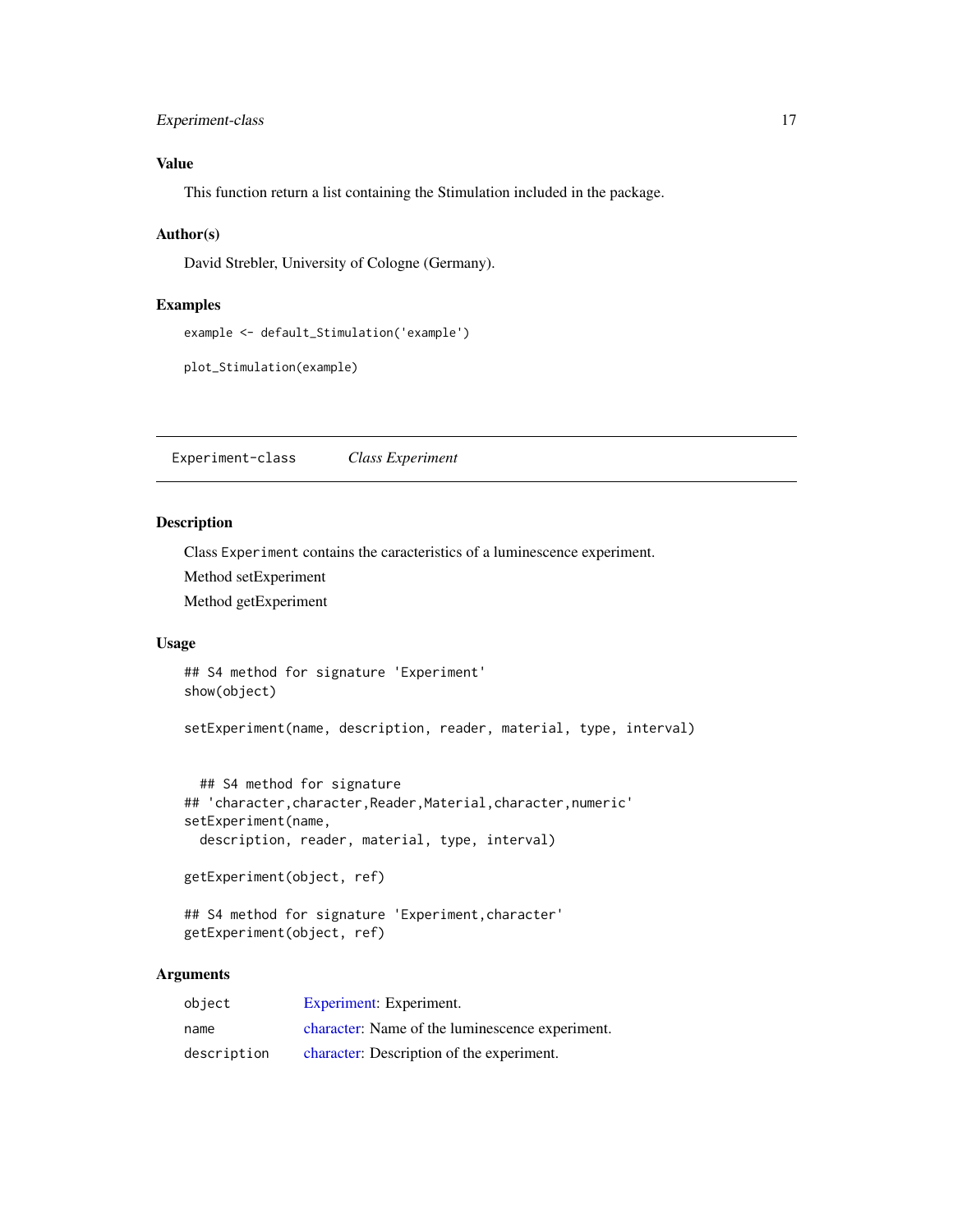## <span id="page-16-0"></span>Experiment-class 17

## Value

This function return a list containing the Stimulation included in the package.

#### Author(s)

David Strebler, University of Cologne (Germany).

#### Examples

```
example <- default_Stimulation('example')
```

```
plot_Stimulation(example)
```
<span id="page-16-1"></span>Experiment-class *Class Experiment*

## Description

Class Experiment contains the caracteristics of a luminescence experiment.

Method setExperiment

Method getExperiment

#### Usage

## S4 method for signature 'Experiment' show(object)

setExperiment(name, description, reader, material, type, interval)

```
## S4 method for signature
## 'character,character,Reader,Material,character,numeric'
setExperiment(name,
 description, reader, material, type, interval)
```
getExperiment(object, ref)

```
## S4 method for signature 'Experiment,character'
getExperiment(object, ref)
```
## Arguments

| object      | Experiment: Experiment.                         |
|-------------|-------------------------------------------------|
| name        | character: Name of the luminescence experiment. |
| description | character: Description of the experiment.       |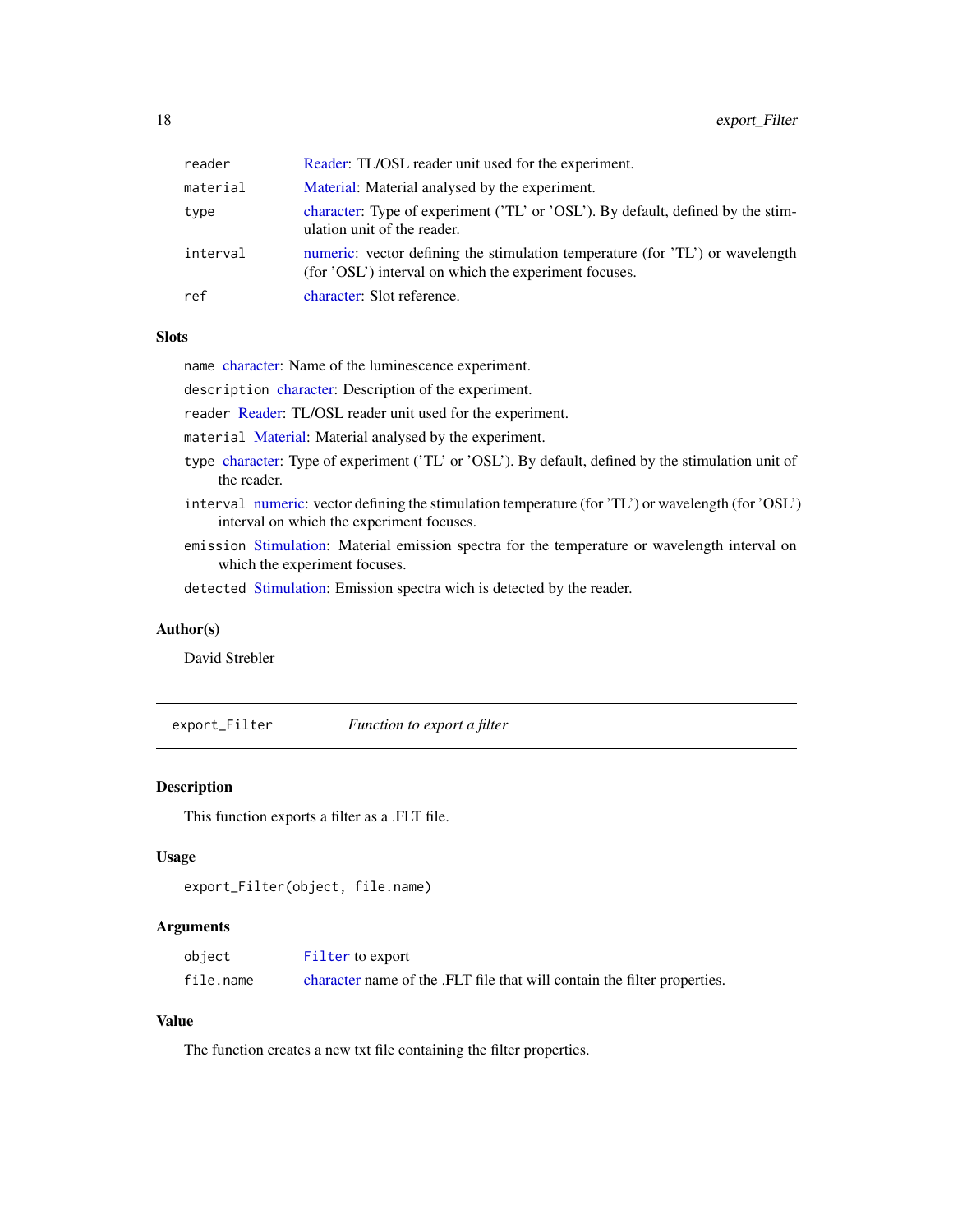<span id="page-17-0"></span>

| reader   | Reader: TL/OSL reader unit used for the experiment.                                                                                    |
|----------|----------------------------------------------------------------------------------------------------------------------------------------|
| material | Material: Material analysed by the experiment.                                                                                         |
| type     | character: Type of experiment ('TL' or 'OSL'). By default, defined by the stim-<br>ulation unit of the reader.                         |
| interval | numeric: vector defining the stimulation temperature (for 'TL') or wavelength<br>(for 'OSL') interval on which the experiment focuses. |
| ref      | character: Slot reference.                                                                                                             |
|          |                                                                                                                                        |

#### **Slots**

name [character:](#page-0-0) Name of the luminescence experiment.

description [character:](#page-0-0) Description of the experiment.

reader [Reader:](#page-33-1) TL/OSL reader unit used for the experiment.

material [Material:](#page-26-1) Material analysed by the experiment.

- type [character:](#page-0-0) Type of experiment ('TL' or 'OSL'). By default, defined by the stimulation unit of the reader.
- interval [numeric:](#page-0-0) vector defining the stimulation temperature (for 'TL') or wavelength (for 'OSL') interval on which the experiment focuses.
- emission [Stimulation:](#page-34-1) Material emission spectra for the temperature or wavelength interval on which the experiment focuses.

detected [Stimulation:](#page-34-1) Emission spectra wich is detected by the reader.

#### Author(s)

David Strebler

export\_Filter *Function to export a filter*

#### Description

This function exports a filter as a .FLT file.

#### Usage

```
export_Filter(object, file.name)
```
#### Arguments

| object    | Filter to export                                                         |
|-----------|--------------------------------------------------------------------------|
| file.name | character name of the .FLT file that will contain the filter properties. |

## Value

The function creates a new txt file containing the filter properties.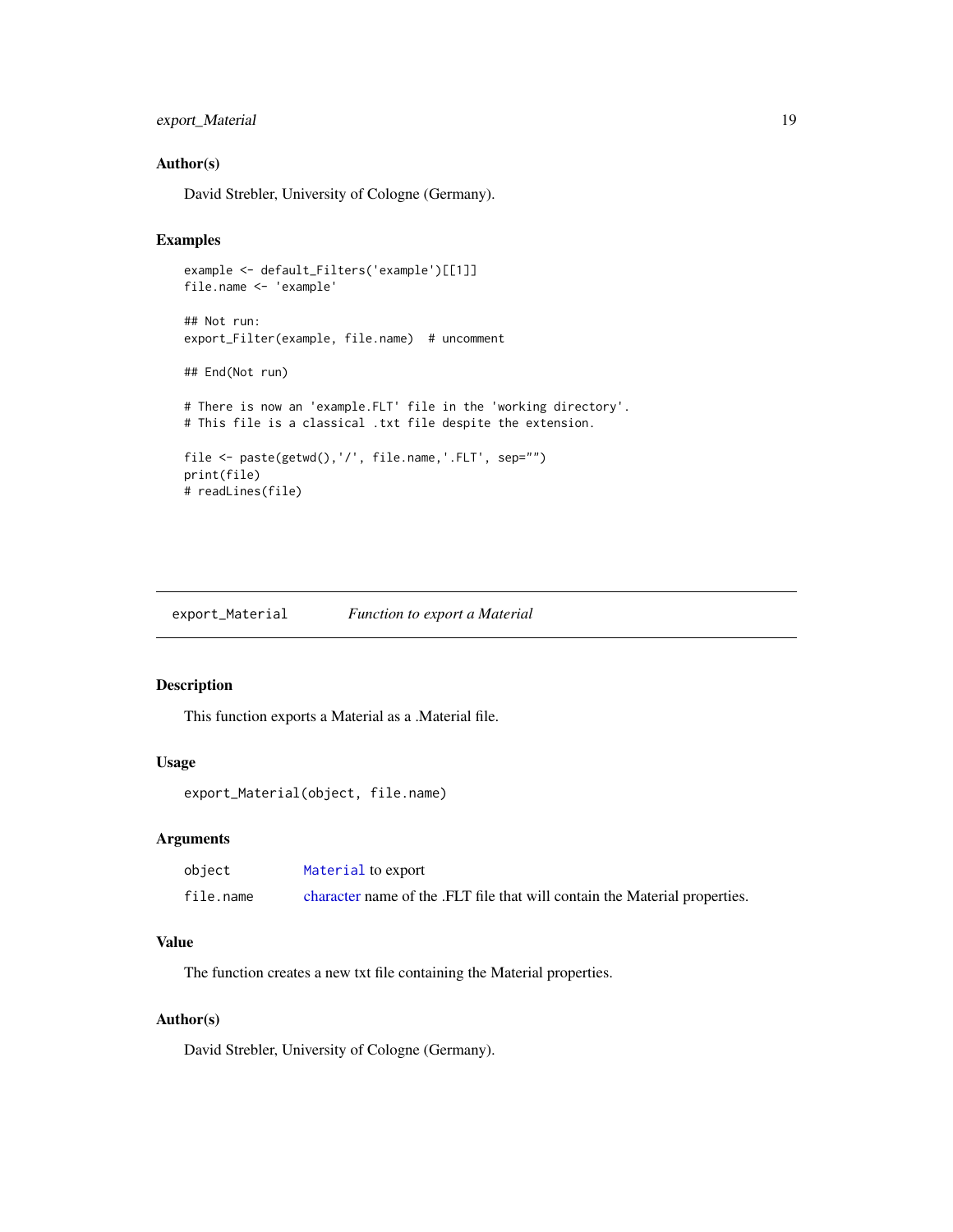## <span id="page-18-0"></span>export\_Material 19

## Author(s)

David Strebler, University of Cologne (Germany).

## Examples

```
example <- default_Filters('example')[[1]]
file.name <- 'example'
## Not run:
export_Filter(example, file.name) # uncomment
## End(Not run)
# There is now an 'example.FLT' file in the 'working directory'.
# This file is a classical .txt file despite the extension.
file <- paste(getwd(),'/', file.name,'.FLT', sep="")
print(file)
# readLines(file)
```
export\_Material *Function to export a Material*

## Description

This function exports a Material as a .Material file.

## Usage

```
export_Material(object, file.name)
```
## Arguments

| object    | Material to export                                                         |
|-----------|----------------------------------------------------------------------------|
| file.name | character name of the .FLT file that will contain the Material properties. |

#### Value

The function creates a new txt file containing the Material properties.

## Author(s)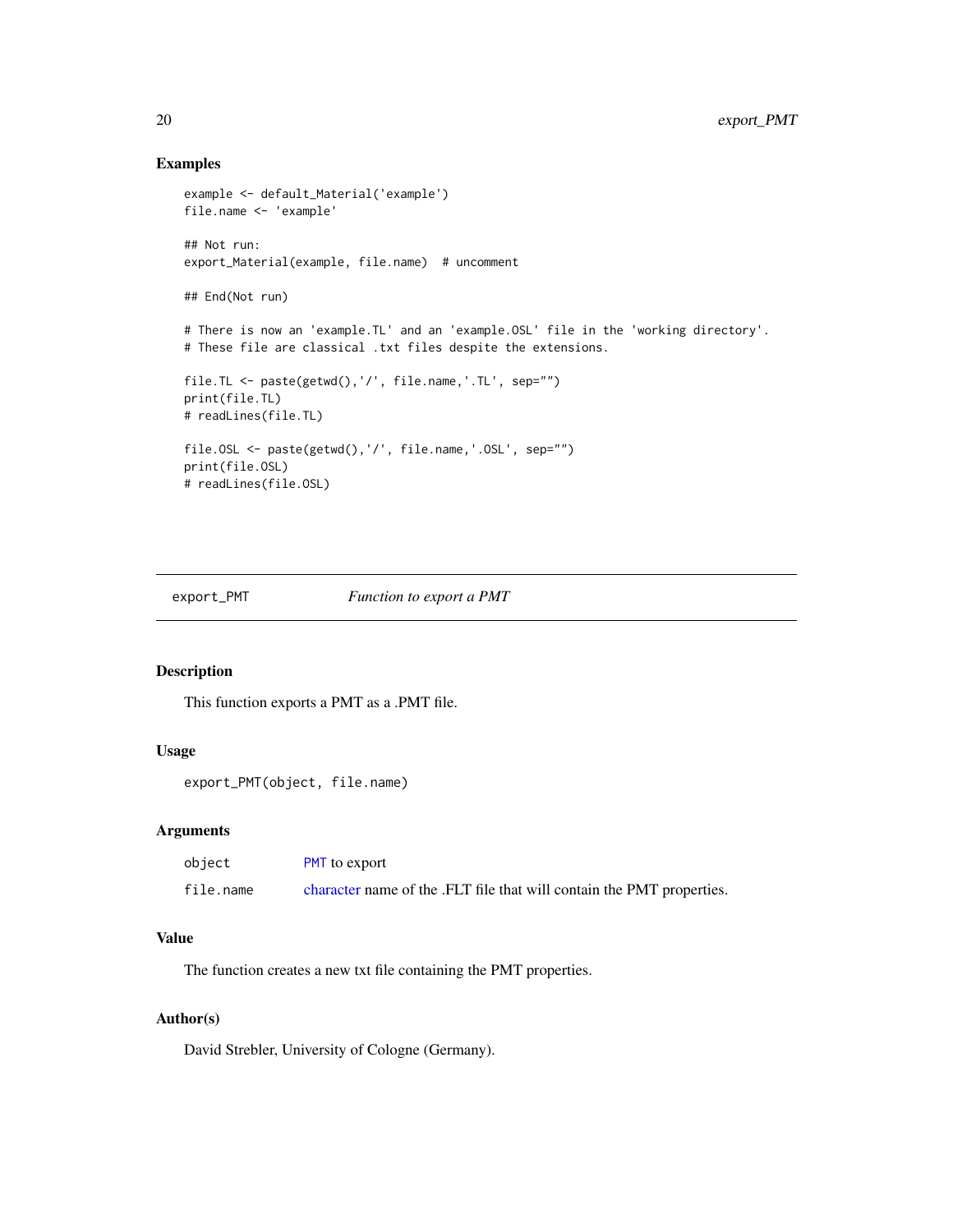## Examples

```
example <- default_Material('example')
file.name <- 'example'
## Not run:
export_Material(example, file.name) # uncomment
## End(Not run)
# There is now an 'example.TL' and an 'example.OSL' file in the 'working directory'.
# These file are classical .txt files despite the extensions.
file.TL <- paste(getwd(),'/', file.name,'.TL', sep="")
print(file.TL)
# readLines(file.TL)
file.OSL <- paste(getwd(),'/', file.name,'.OSL', sep="")
print(file.OSL)
# readLines(file.OSL)
```

```
export_PMT Function to export a PMT
```
## Description

This function exports a PMT as a .PMT file.

#### Usage

```
export_PMT(object, file.name)
```
#### Arguments

| object    | <b>PMT</b> to export                                                  |
|-----------|-----------------------------------------------------------------------|
| file.name | character name of the .FLT file that will contain the PMT properties. |

## Value

The function creates a new txt file containing the PMT properties.

## Author(s)

<span id="page-19-0"></span>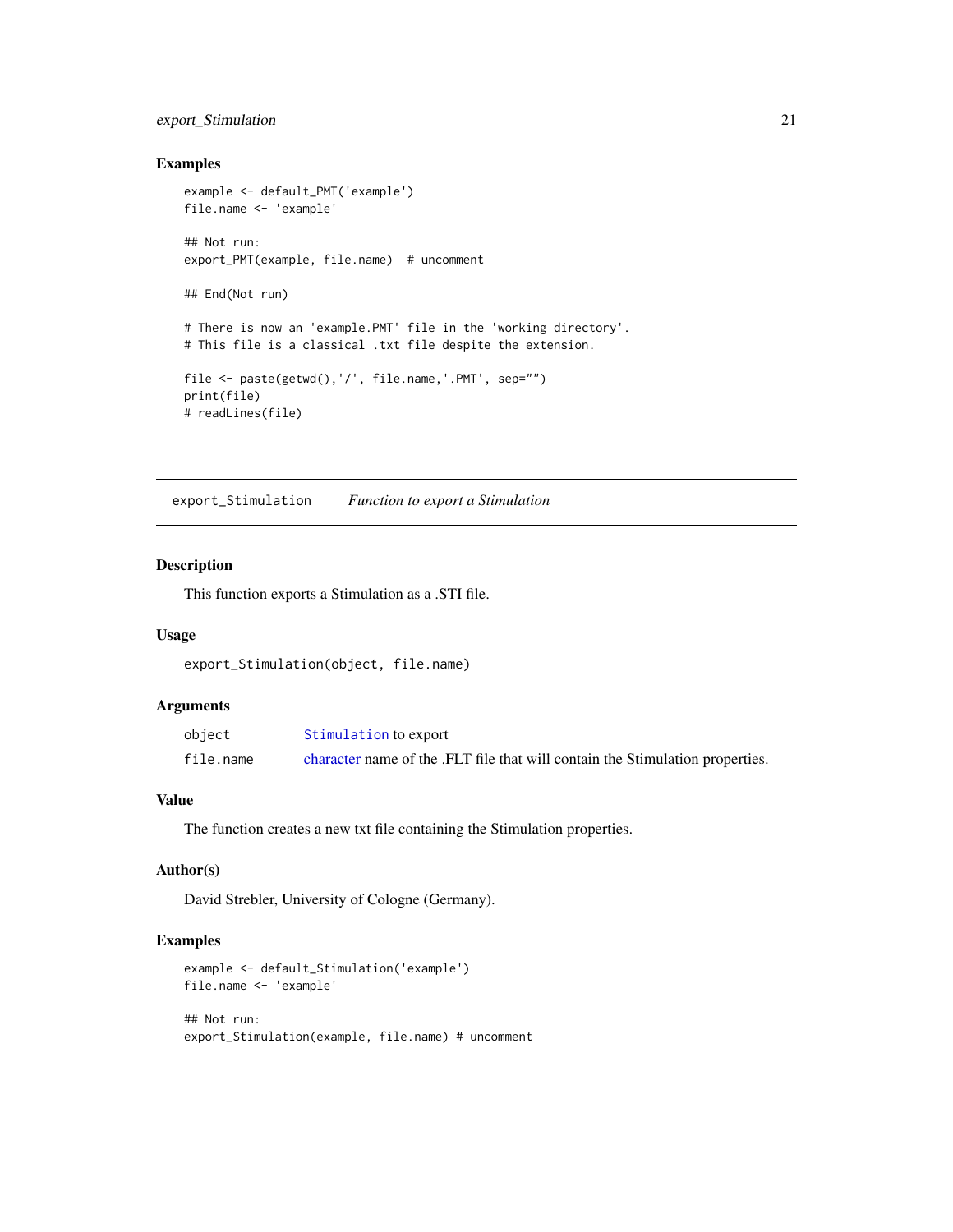## <span id="page-20-0"></span>export\_Stimulation 21

## Examples

```
example <- default_PMT('example')
file.name <- 'example'
## Not run:
export_PMT(example, file.name) # uncomment
## End(Not run)
# There is now an 'example.PMT' file in the 'working directory'.
# This file is a classical .txt file despite the extension.
file <- paste(getwd(),'/', file.name,'.PMT', sep="")
print(file)
# readLines(file)
```
export\_Stimulation *Function to export a Stimulation*

## Description

This function exports a Stimulation as a .STI file.

#### Usage

export\_Stimulation(object, file.name)

## Arguments

| object    | Stimulation to export                                                         |
|-----------|-------------------------------------------------------------------------------|
| file.name | character name of the .FLT file that will contain the Stimulation properties. |

## Value

The function creates a new txt file containing the Stimulation properties.

#### Author(s)

David Strebler, University of Cologne (Germany).

#### Examples

```
example <- default_Stimulation('example')
file.name <- 'example'
```
## Not run: export\_Stimulation(example, file.name) # uncomment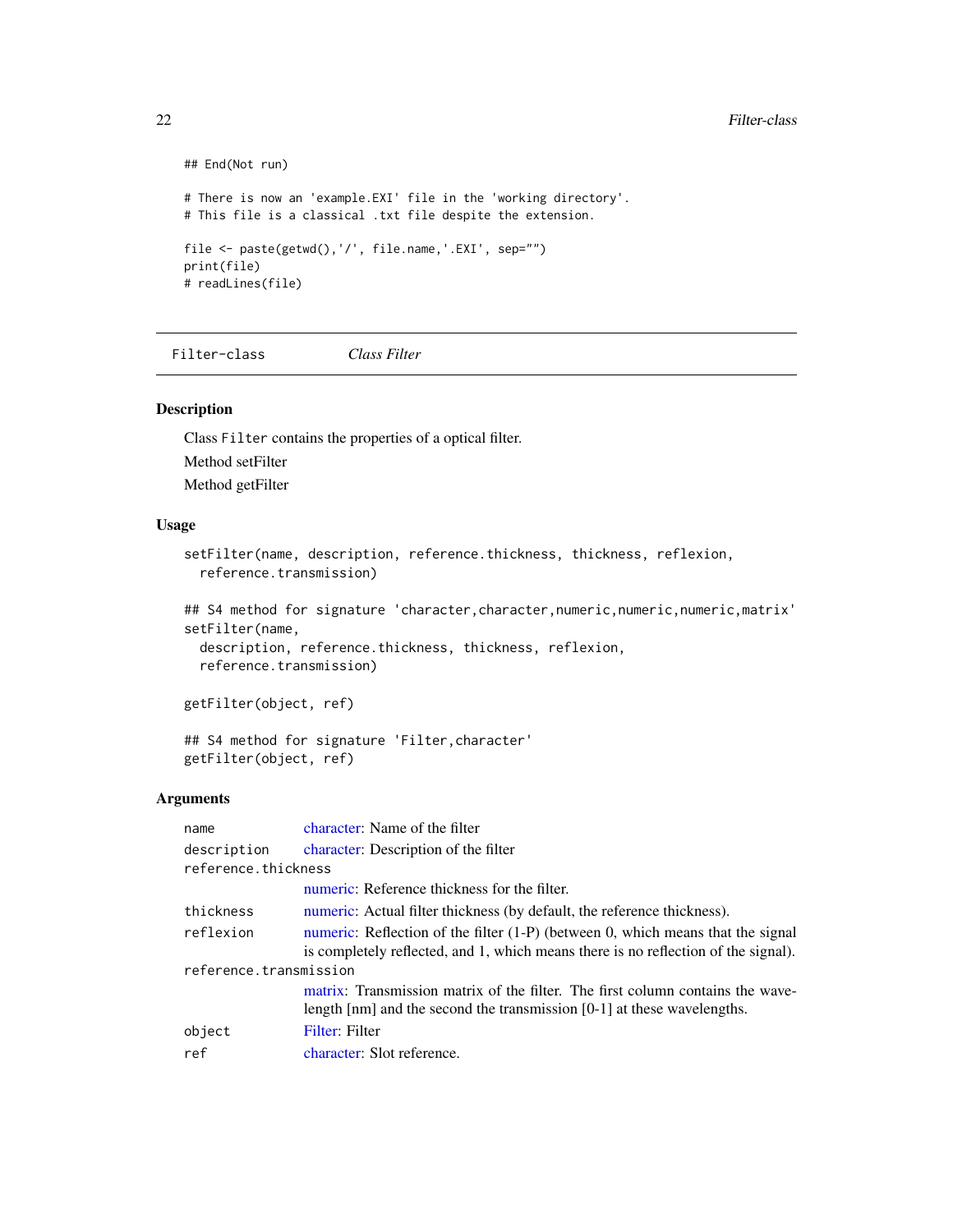```
## End(Not run)
# There is now an 'example.EXI' file in the 'working directory'.
# This file is a classical .txt file despite the extension.
file <- paste(getwd(),'/', file.name,'.EXI', sep="")
print(file)
# readLines(file)
```
<span id="page-21-1"></span>Filter-class *Class Filter*

#### Description

Class Filter contains the properties of a optical filter. Method setFilter Method getFilter

#### Usage

```
setFilter(name, description, reference.thickness, thickness, reflexion,
  reference.transmission)
```

```
## S4 method for signature 'character, character, numeric, numeric, numeric, matrix'
setFilter(name,
  description, reference.thickness, thickness, reflexion,
  reference.transmission)
```
getFilter(object, ref)

## S4 method for signature 'Filter,character' getFilter(object, ref)

## Arguments

| name                   | character: Name of the filter                                                                              |  |
|------------------------|------------------------------------------------------------------------------------------------------------|--|
| description            | character: Description of the filter                                                                       |  |
| reference.thickness    |                                                                                                            |  |
|                        | numeric: Reference thickness for the filter.                                                               |  |
| thickness              | numeric: Actual filter thickness (by default, the reference thickness).                                    |  |
| reflexion              | numeric: Reflection of the filter $(1-P)$ (between 0, which means that the signal                          |  |
|                        | is completely reflected, and 1, which means there is no reflection of the signal).                         |  |
| reference.transmission |                                                                                                            |  |
|                        | matrix: Transmission matrix of the filter. The first column contains the wave-                             |  |
|                        | length $\lceil \text{nm} \rceil$ and the second the transmission $\lceil 0-1 \rceil$ at these wavelengths. |  |
| object                 | Filter: Filter                                                                                             |  |
| ref                    | character: Slot reference.                                                                                 |  |

<span id="page-21-0"></span>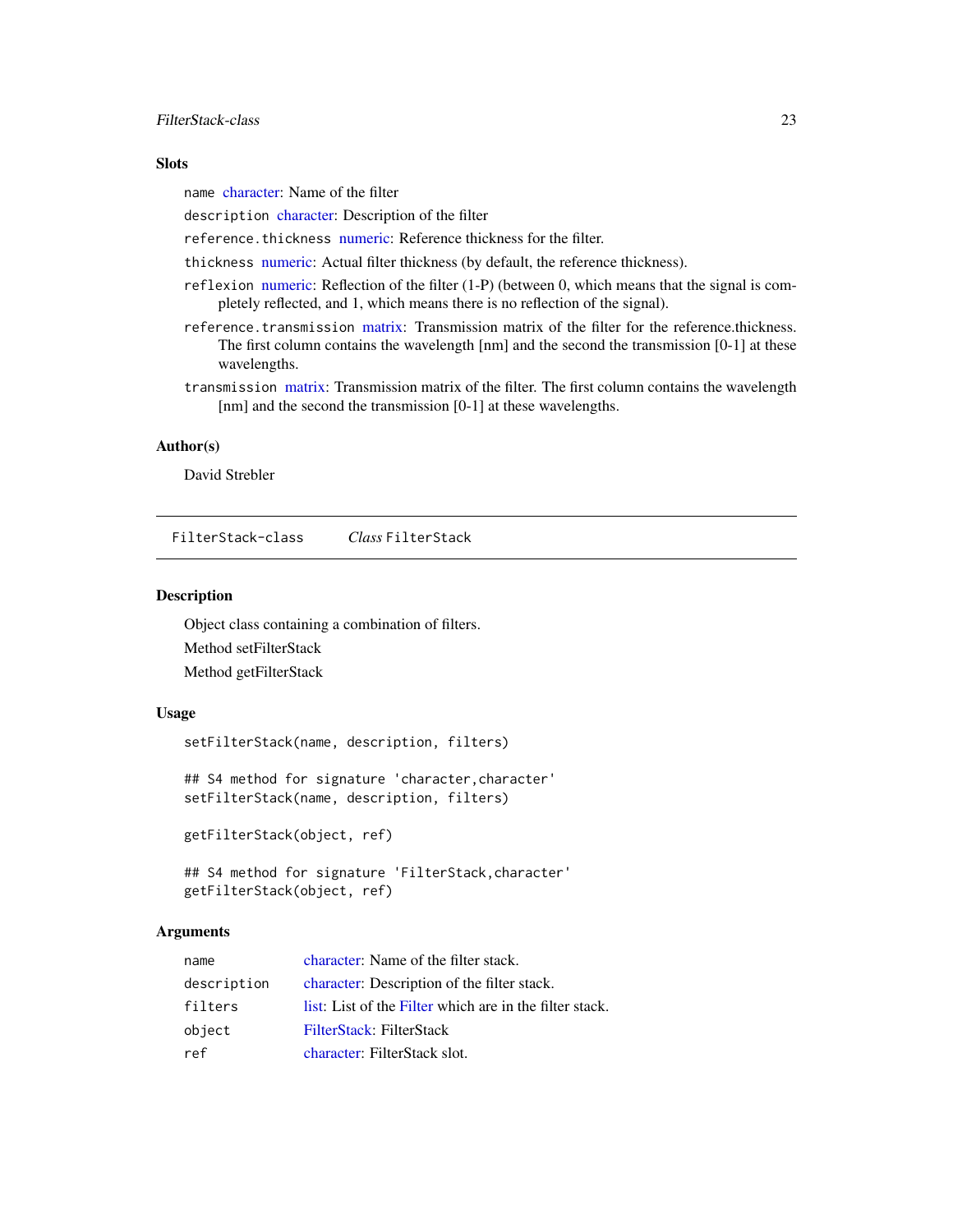#### <span id="page-22-0"></span>**Slots**

name [character:](#page-0-0) Name of the filter

description [character:](#page-0-0) Description of the filter

reference.thickness [numeric:](#page-0-0) Reference thickness for the filter.

thickness [numeric:](#page-0-0) Actual filter thickness (by default, the reference thickness).

- reflexion [numeric:](#page-0-0) Reflection of the filter (1-P) (between 0, which means that the signal is completely reflected, and 1, which means there is no reflection of the signal).
- reference.transmission [matrix:](#page-0-0) Transmission matrix of the filter for the reference.thickness. The first column contains the wavelength [nm] and the second the transmission [0-1] at these wavelengths.
- transmission [matrix:](#page-0-0) Transmission matrix of the filter. The first column contains the wavelength [nm] and the second the transmission [0-1] at these wavelengths.

## Author(s)

David Strebler

<span id="page-22-1"></span>FilterStack-class *Class* FilterStack

#### Description

Object class containing a combination of filters. Method setFilterStack Method getFilterStack

#### Usage

setFilterStack(name, description, filters)

## S4 method for signature 'character,character' setFilterStack(name, description, filters)

getFilterStack(object, ref)

```
## S4 method for signature 'FilterStack,character'
getFilterStack(object, ref)
```
#### Arguments

| name        | character: Name of the filter stack.                    |
|-------------|---------------------------------------------------------|
| description | character: Description of the filter stack.             |
| filters     | list: List of the Filter which are in the filter stack. |
| object      | FilterStack: FilterStack                                |
| ref         | character: FilterStack slot.                            |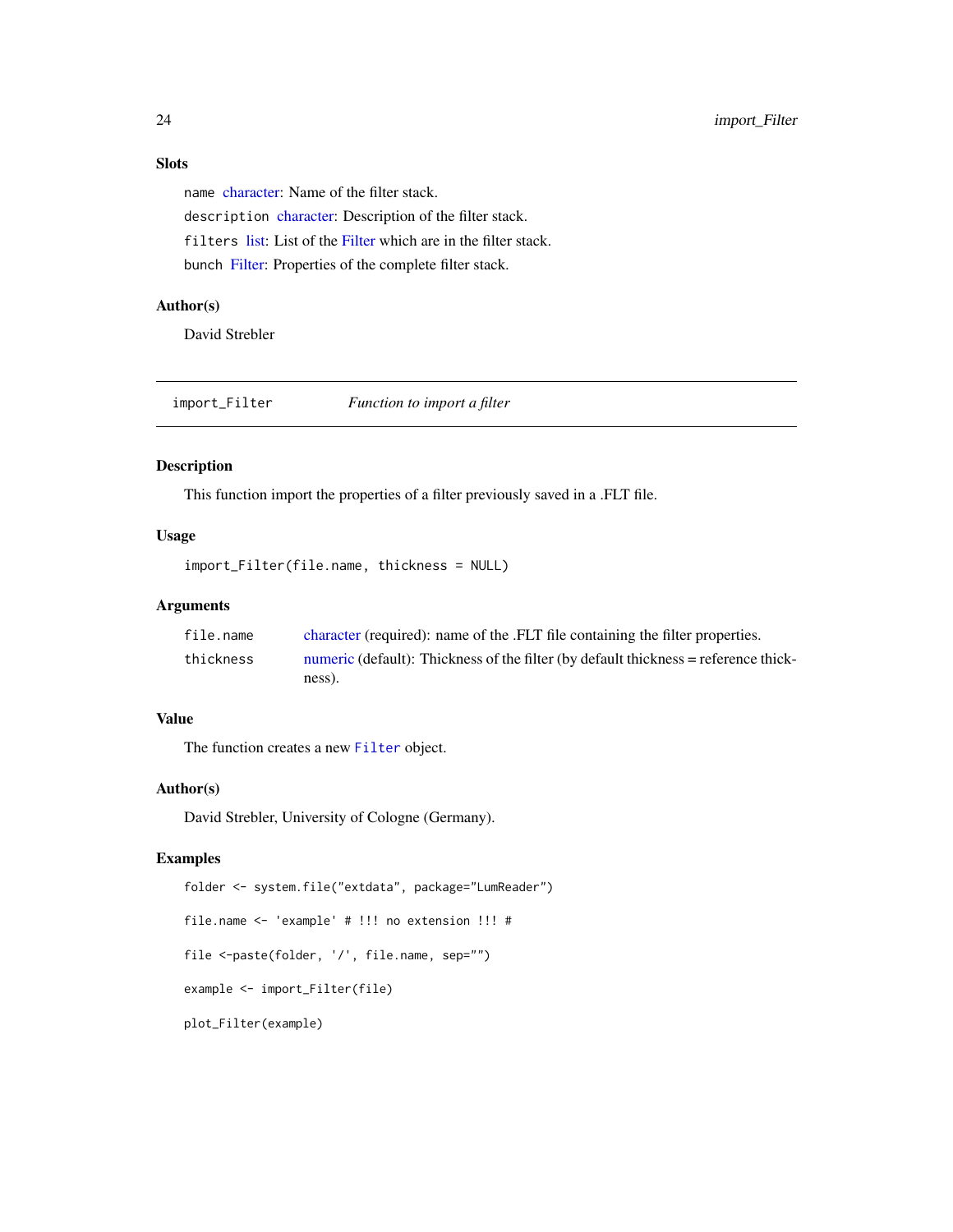## Slots

name [character:](#page-0-0) Name of the filter stack. description [character:](#page-0-0) Description of the filter stack. filters [list:](#page-0-0) List of the [Filter](#page-21-1) which are in the filter stack. bunch [Filter:](#page-21-1) Properties of the complete filter stack.

## Author(s)

David Strebler

import\_Filter *Function to import a filter*

## Description

This function import the properties of a filter previously saved in a .FLT file.

#### Usage

```
import_Filter(file.name, thickness = NULL)
```
## Arguments

| file.name | character (required): name of the .FLT file containing the filter properties.       |
|-----------|-------------------------------------------------------------------------------------|
| thickness | numeric (default): Thickness of the filter (by default thickness = reference thick- |
|           | ness).                                                                              |

## Value

The function creates a new [Filter](#page-21-1) object.

## Author(s)

David Strebler, University of Cologne (Germany).

#### Examples

folder <- system.file("extdata", package="LumReader") file.name <- 'example' # !!! no extension !!! # file <-paste(folder, '/', file.name, sep="") example <- import\_Filter(file) plot\_Filter(example)

<span id="page-23-0"></span>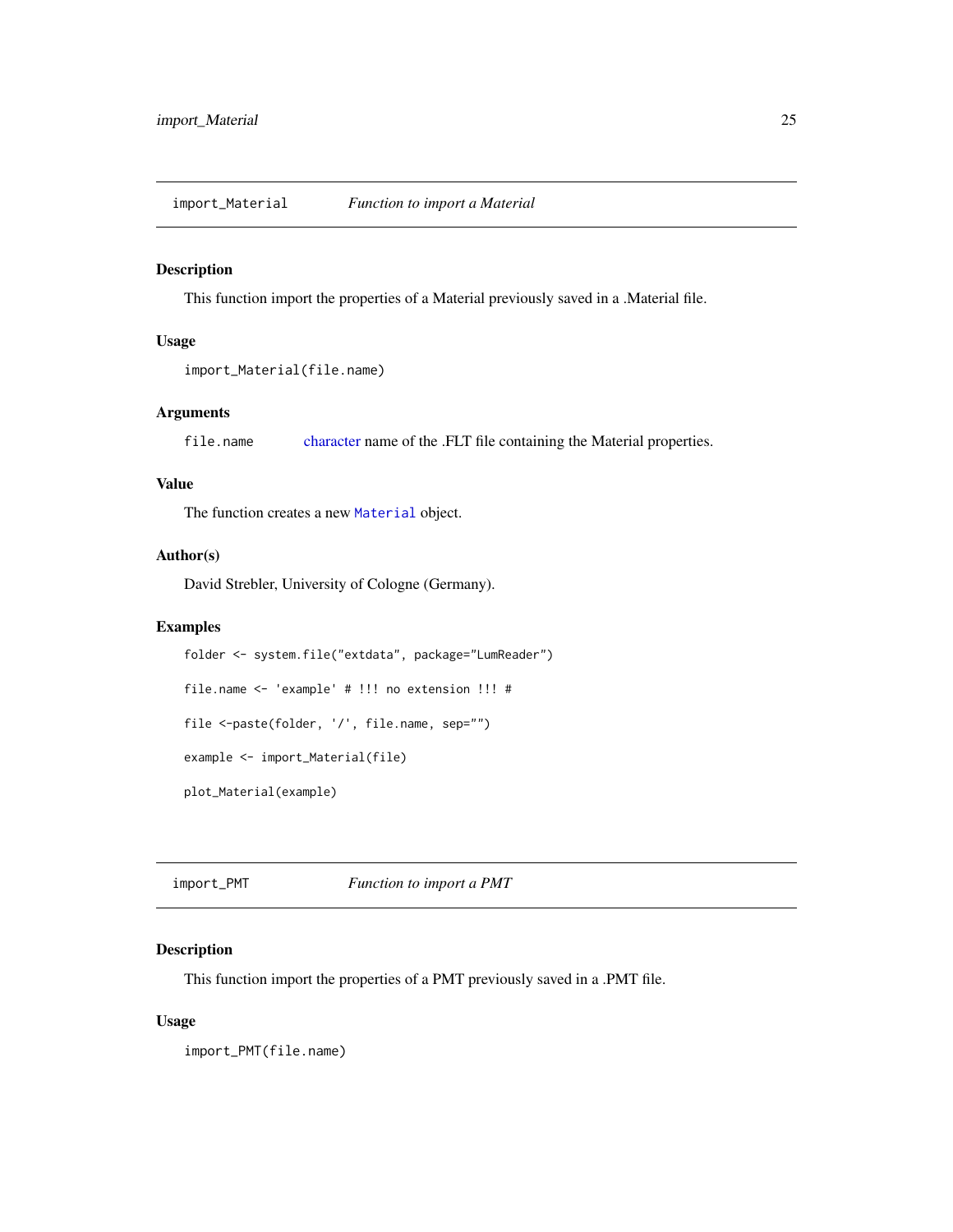#### <span id="page-24-0"></span>Description

This function import the properties of a Material previously saved in a .Material file.

#### Usage

```
import_Material(file.name)
```
## Arguments

file.name [character](#page-0-0) name of the .FLT file containing the Material properties.

## Value

The function creates a new [Material](#page-26-1) object.

## Author(s)

David Strebler, University of Cologne (Germany).

## Examples

```
folder <- system.file("extdata", package="LumReader")
file.name <- 'example' # !!! no extension !!! #
file <-paste(folder, '/', file.name, sep="")
example <- import_Material(file)
plot_Material(example)
```
import\_PMT *Function to import a PMT*

## Description

This function import the properties of a PMT previously saved in a .PMT file.

#### Usage

import\_PMT(file.name)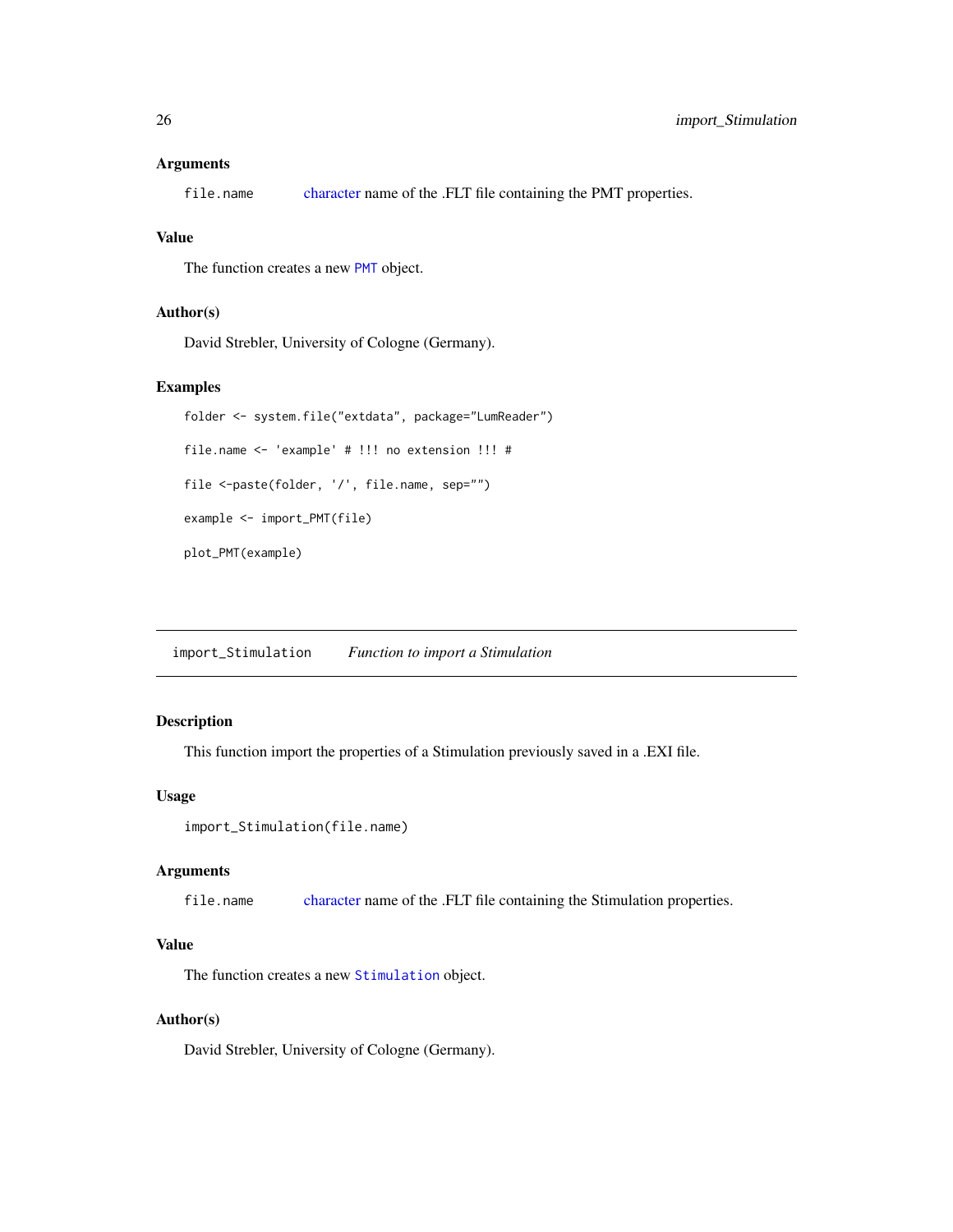#### <span id="page-25-0"></span>Arguments

file.name [character](#page-0-0) name of the .FLT file containing the PMT properties.

#### Value

The function creates a new [PMT](#page-32-1) object.

#### Author(s)

David Strebler, University of Cologne (Germany).

## Examples

```
folder <- system.file("extdata", package="LumReader")
file.name <- 'example' # !!! no extension !!! #
file <-paste(folder, '/', file.name, sep="")
example <- import_PMT(file)
plot_PMT(example)
```
import\_Stimulation *Function to import a Stimulation*

#### Description

This function import the properties of a Stimulation previously saved in a .EXI file.

## Usage

```
import_Stimulation(file.name)
```
#### Arguments

file.name [character](#page-0-0) name of the .FLT file containing the Stimulation properties.

## Value

The function creates a new [Stimulation](#page-34-1) object.

## Author(s)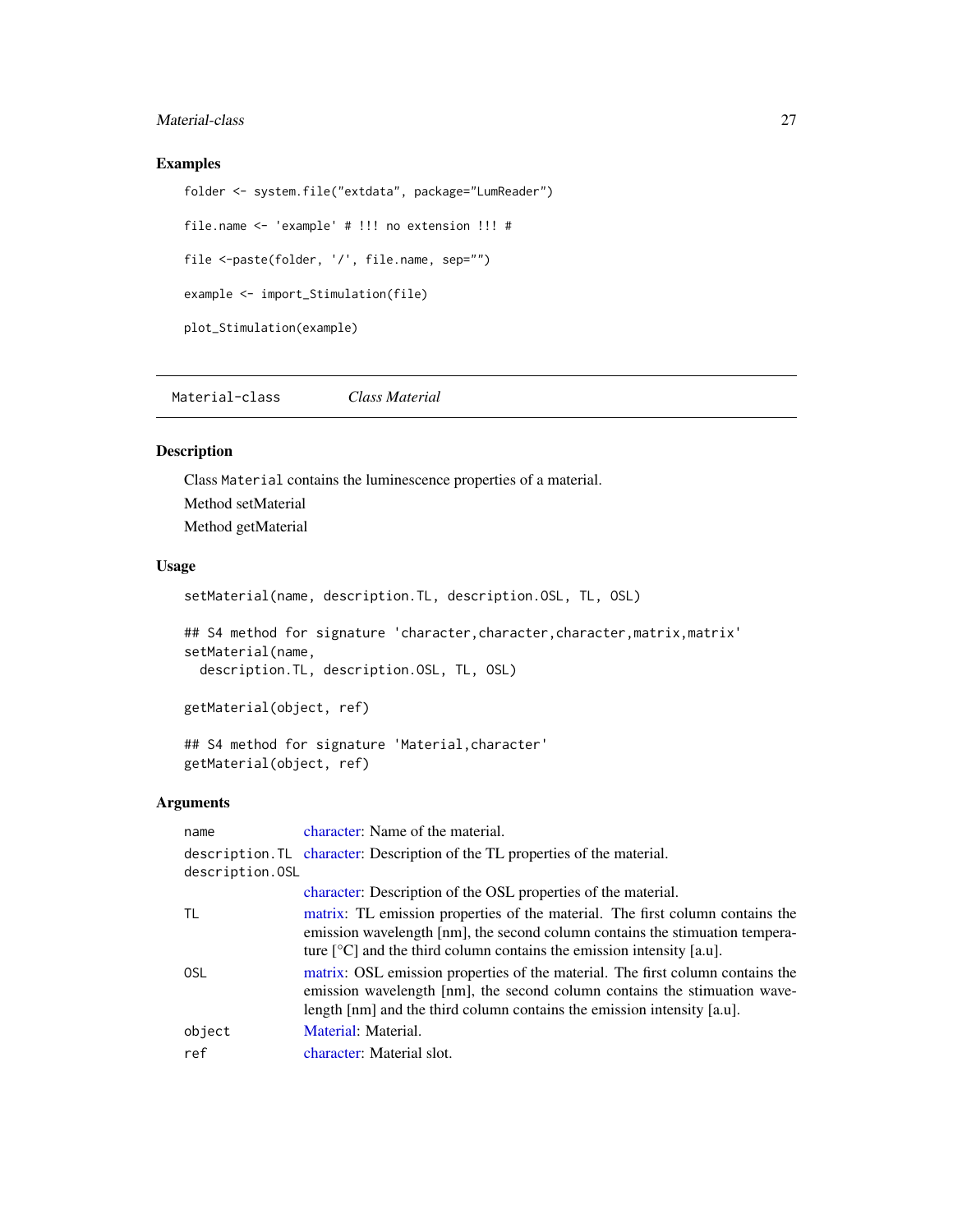## <span id="page-26-0"></span>Material-class 27

## Examples

```
folder <- system.file("extdata", package="LumReader")
file.name <- 'example' # !!! no extension !!! #
file <-paste(folder, '/', file.name, sep="")
example <- import_Stimulation(file)
plot_Stimulation(example)
```
<span id="page-26-1"></span>Material-class *Class Material*

#### Description

Class Material contains the luminescence properties of a material. Method setMaterial Method getMaterial

#### Usage

setMaterial(name, description.TL, description.OSL, TL, OSL)

## S4 method for signature 'character, character, character, matrix, matrix' setMaterial(name,

description.TL, description.OSL, TL, OSL)

getMaterial(object, ref)

## S4 method for signature 'Material,character' getMaterial(object, ref)

## Arguments

| name            | character: Name of the material.                                                                                                                                                                                                                                                  |
|-----------------|-----------------------------------------------------------------------------------------------------------------------------------------------------------------------------------------------------------------------------------------------------------------------------------|
| description.OSL | description. TL character: Description of the TL properties of the material.                                                                                                                                                                                                      |
|                 | character: Description of the OSL properties of the material.                                                                                                                                                                                                                     |
| TL              | matrix: TL emission properties of the material. The first column contains the<br>emission wavelength [nm], the second column contains the stimuation tempera-<br>ture $\lceil {^{\circ}C} \rceil$ and the third column contains the emission intensity [a.u].                     |
| 0SL             | matrix: OSL emission properties of the material. The first column contains the<br>emission wavelength [nm], the second column contains the stimuation wave-<br>length $\lceil \text{nm} \rceil$ and the third column contains the emission intensity $\lceil \text{a.u} \rceil$ . |
| object          | Material: Material.                                                                                                                                                                                                                                                               |
| ref             | character: Material slot.                                                                                                                                                                                                                                                         |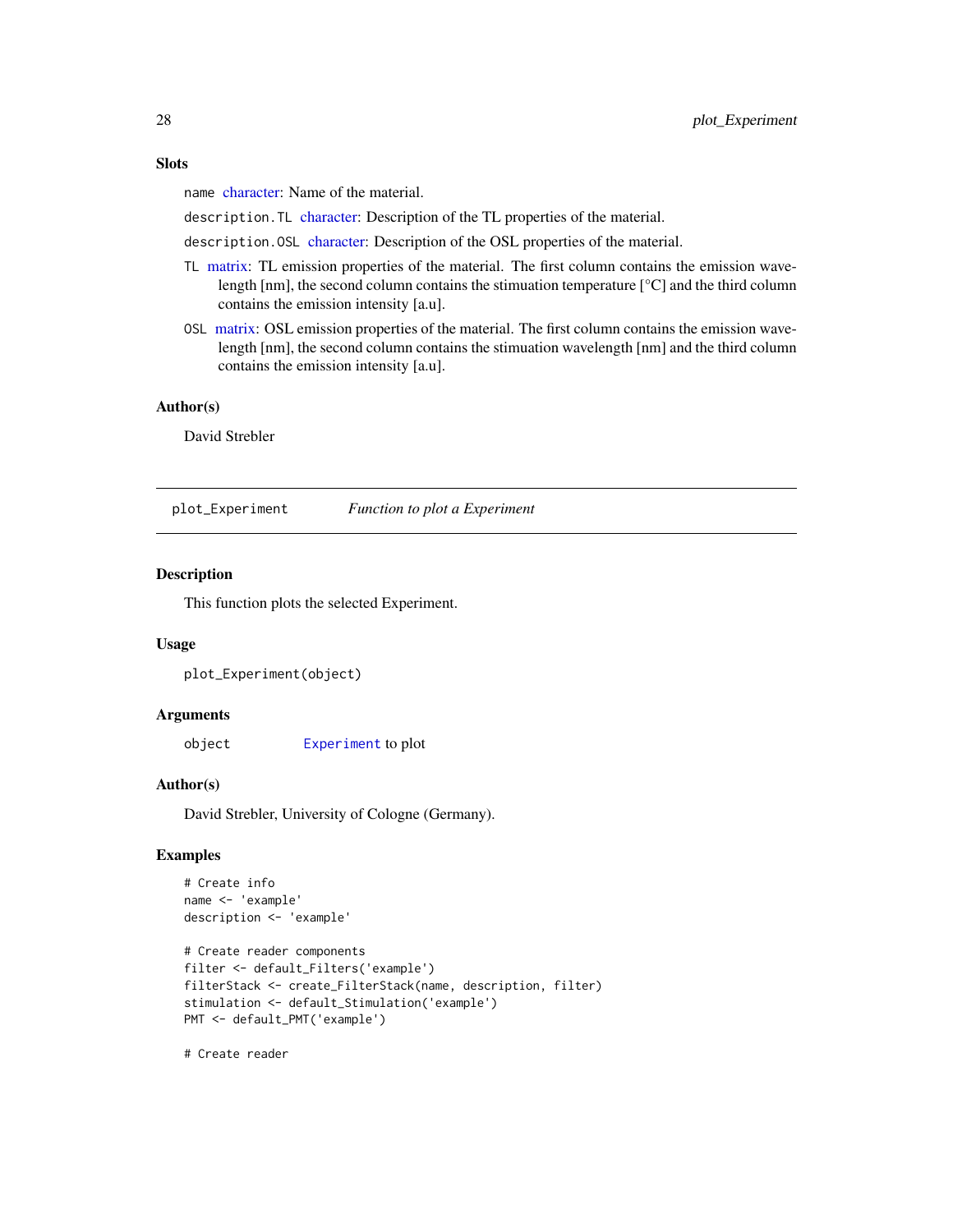#### <span id="page-27-0"></span>**Slots**

name [character:](#page-0-0) Name of the material.

description.TL [character:](#page-0-0) Description of the TL properties of the material.

description.OSL [character:](#page-0-0) Description of the OSL properties of the material.

- TL [matrix:](#page-0-0) TL emission properties of the material. The first column contains the emission wavelength [nm], the second column contains the stimuation temperature [°C] and the third column contains the emission intensity [a.u].
- OSL [matrix:](#page-0-0) OSL emission properties of the material. The first column contains the emission wavelength [nm], the second column contains the stimuation wavelength [nm] and the third column contains the emission intensity [a.u].

#### Author(s)

David Strebler

plot\_Experiment *Function to plot a Experiment*

## Description

This function plots the selected Experiment.

#### Usage

```
plot_Experiment(object)
```
#### Arguments

object [Experiment](#page-16-1) to plot

#### Author(s)

David Strebler, University of Cologne (Germany).

## Examples

```
# Create info
name <- 'example'
description <- 'example'
# Create reader components
filter <- default_Filters('example')
filterStack <- create_FilterStack(name, description, filter)
stimulation <- default_Stimulation('example')
PMT <- default_PMT('example')
```
# Create reader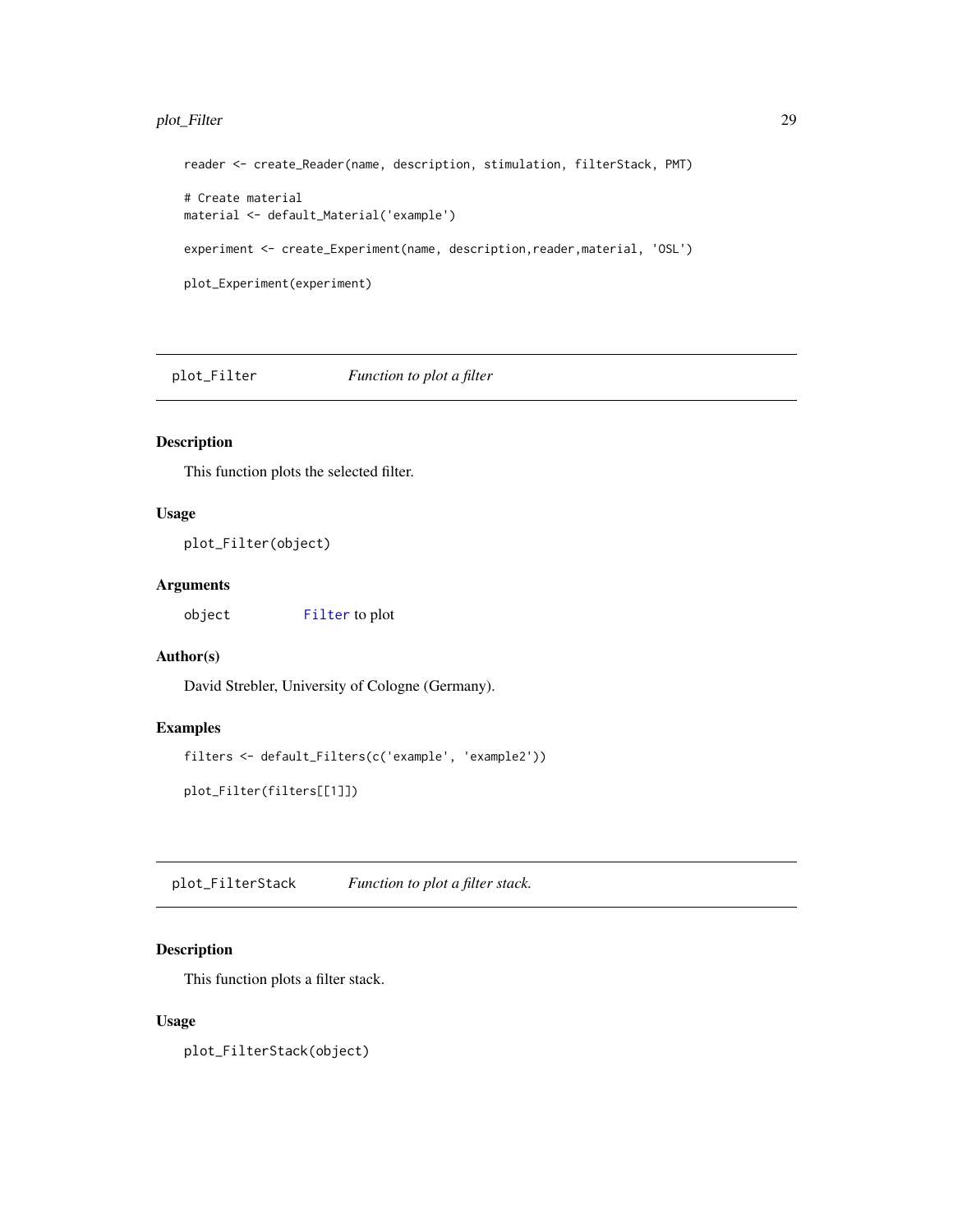## <span id="page-28-0"></span>plot\_Filter 29

```
reader <- create_Reader(name, description, stimulation, filterStack, PMT)
# Create material
material <- default_Material('example')
experiment <- create_Experiment(name, description,reader,material, 'OSL')
plot_Experiment(experiment)
```
plot\_Filter *Function to plot a filter*

## Description

This function plots the selected filter.

## Usage

plot\_Filter(object)

## Arguments

object [Filter](#page-21-1) to plot

## Author(s)

David Strebler, University of Cologne (Germany).

## Examples

```
filters <- default_Filters(c('example', 'example2'))
```
plot\_Filter(filters[[1]])

plot\_FilterStack *Function to plot a filter stack.*

## Description

This function plots a filter stack.

#### Usage

plot\_FilterStack(object)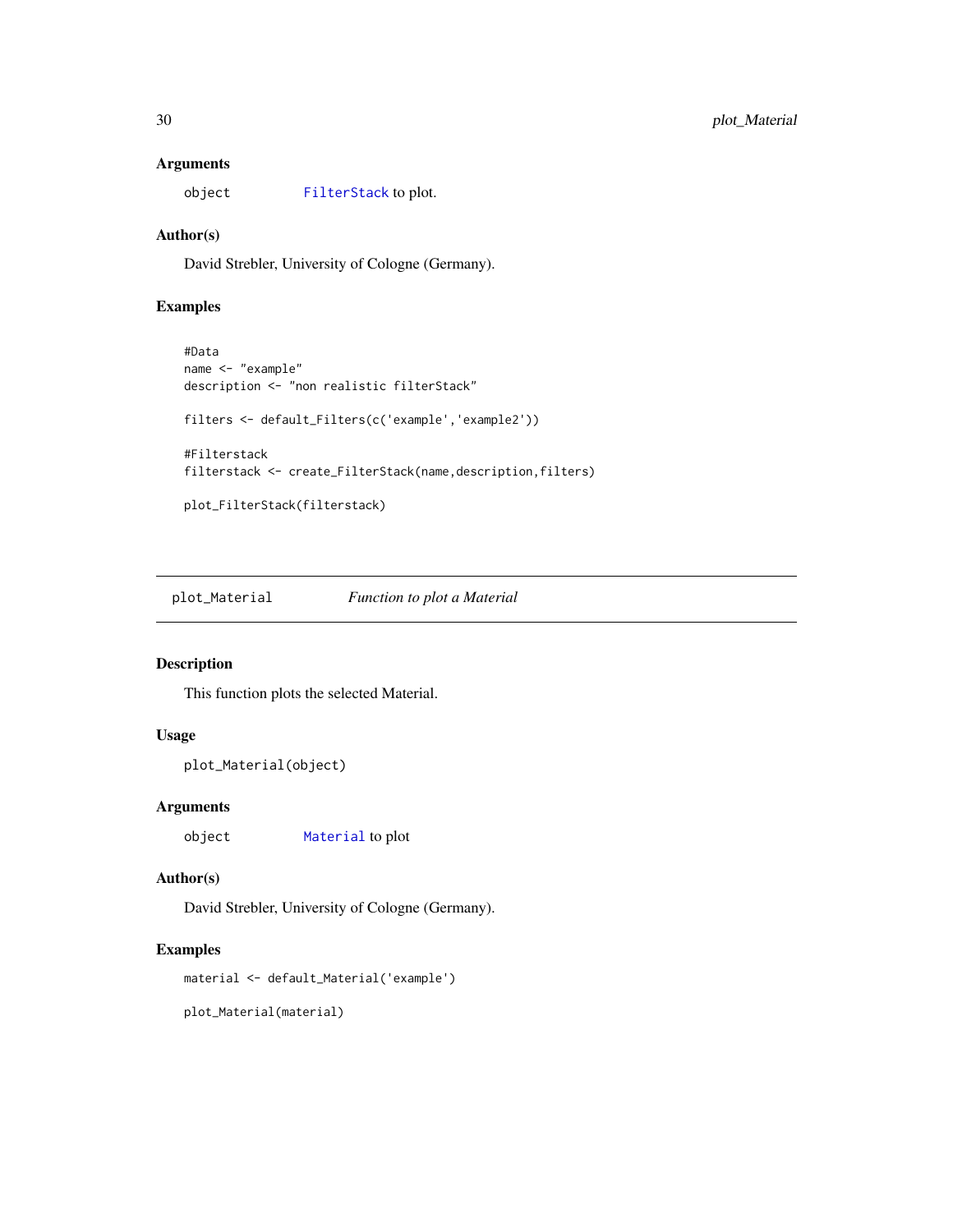## <span id="page-29-0"></span>Arguments

```
object FilterStack to plot.
```
## Author(s)

David Strebler, University of Cologne (Germany).

## Examples

```
#Data
name <- "example"
description <- "non realistic filterStack"
filters <- default_Filters(c('example','example2'))
#Filterstack
filterstack <- create_FilterStack(name,description,filters)
plot_FilterStack(filterstack)
```
plot\_Material *Function to plot a Material*

## Description

This function plots the selected Material.

## Usage

```
plot_Material(object)
```
## Arguments

object [Material](#page-26-1) to plot

#### Author(s)

David Strebler, University of Cologne (Germany).

## Examples

material <- default\_Material('example')

plot\_Material(material)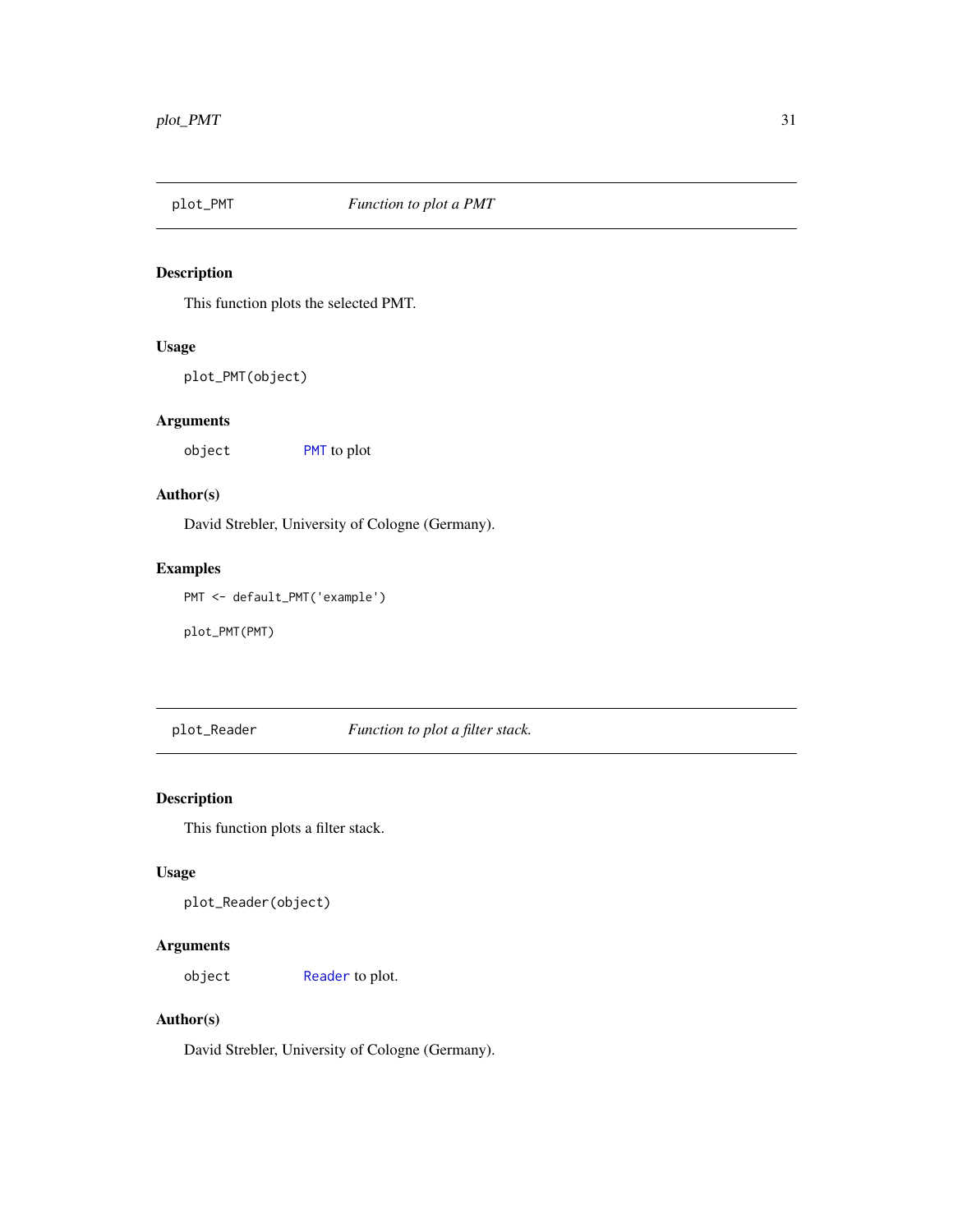<span id="page-30-0"></span>

## Description

This function plots the selected PMT.

## Usage

plot\_PMT(object)

## Arguments

object [PMT](#page-32-1) to plot

## Author(s)

David Strebler, University of Cologne (Germany).

## Examples

PMT <- default\_PMT('example')

plot\_PMT(PMT)

plot\_Reader *Function to plot a filter stack.*

## Description

This function plots a filter stack.

## Usage

```
plot_Reader(object)
```
## Arguments

object [Reader](#page-33-1) to plot.

## Author(s)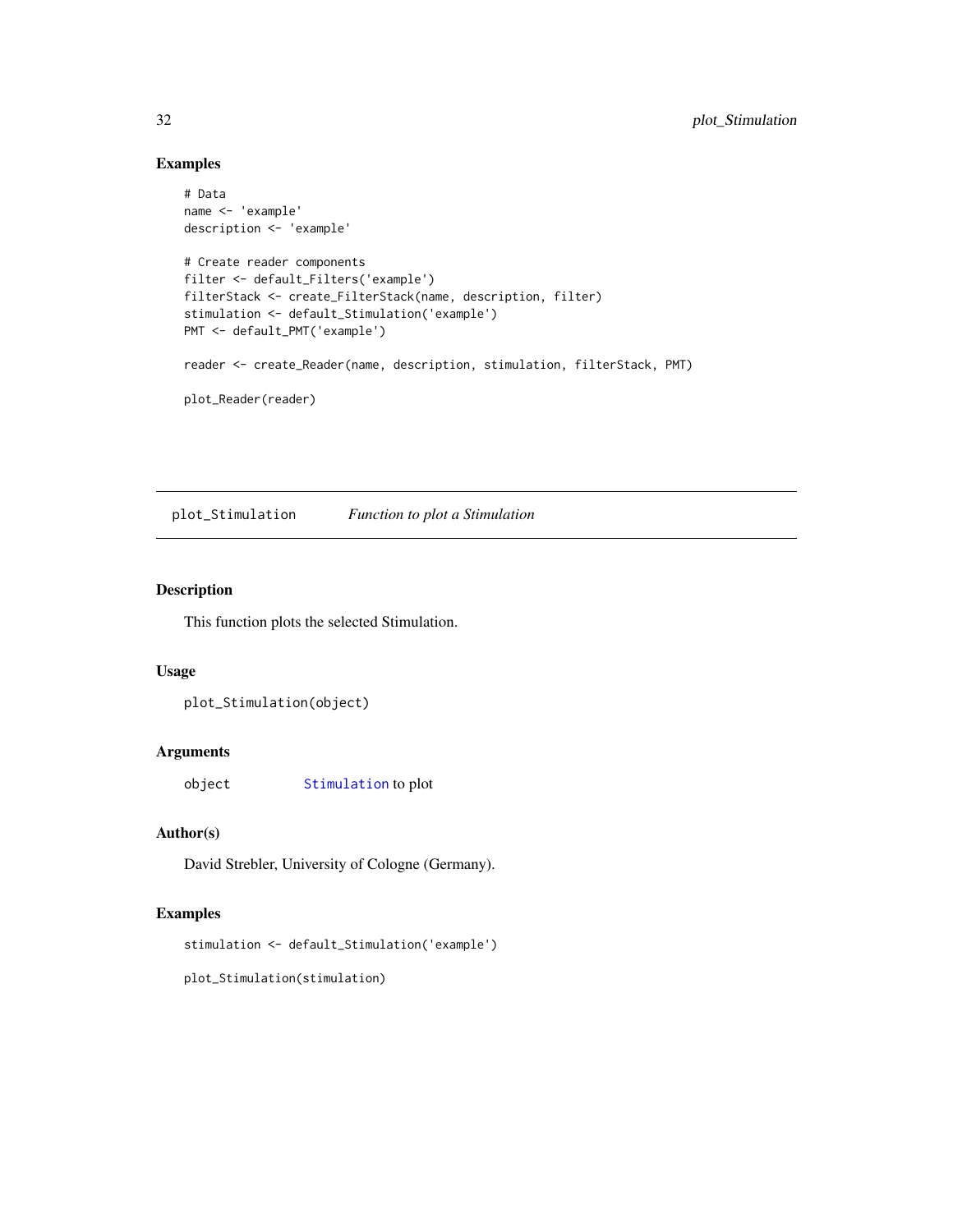## Examples

```
# Data
name <- 'example'
description <- 'example'
# Create reader components
filter <- default_Filters('example')
filterStack <- create_FilterStack(name, description, filter)
stimulation <- default_Stimulation('example')
PMT <- default_PMT('example')
reader <- create_Reader(name, description, stimulation, filterStack, PMT)
plot_Reader(reader)
```
plot\_Stimulation *Function to plot a Stimulation*

## Description

This function plots the selected Stimulation.

## Usage

```
plot_Stimulation(object)
```
## Arguments

object [Stimulation](#page-34-1) to plot

## Author(s)

David Strebler, University of Cologne (Germany).

## Examples

stimulation <- default\_Stimulation('example')

plot\_Stimulation(stimulation)

<span id="page-31-0"></span>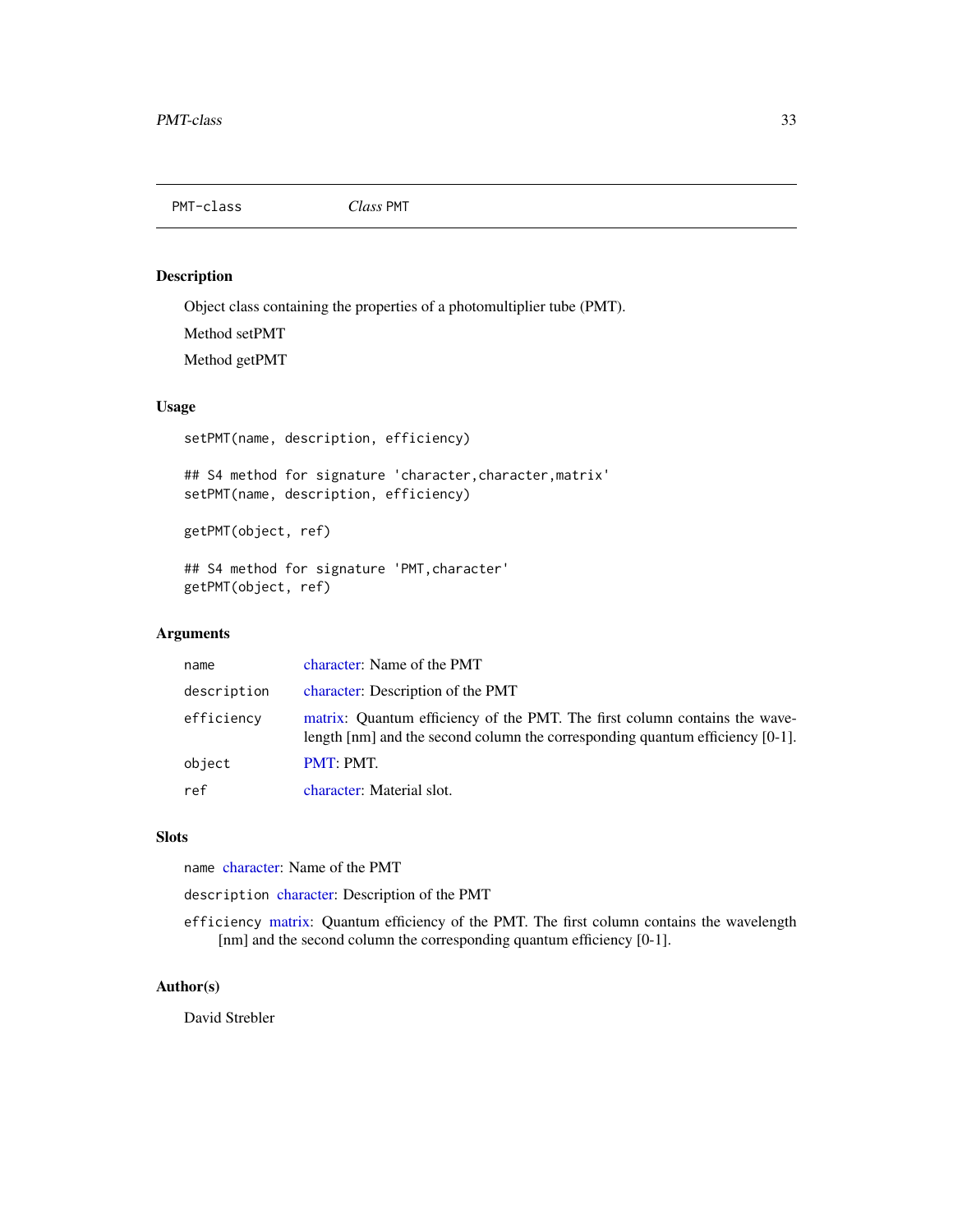<span id="page-32-1"></span><span id="page-32-0"></span>PMT-class *Class* PMT

## Description

Object class containing the properties of a photomultiplier tube (PMT).

Method setPMT

Method getPMT

## Usage

setPMT(name, description, efficiency)

## S4 method for signature 'character,character,matrix' setPMT(name, description, efficiency)

getPMT(object, ref)

## S4 method for signature 'PMT,character' getPMT(object, ref)

## Arguments

| name        | character: Name of the PMT                                                                                                                                                                   |
|-------------|----------------------------------------------------------------------------------------------------------------------------------------------------------------------------------------------|
| description | character: Description of the PMT                                                                                                                                                            |
| efficiency  | matrix: Quantum efficiency of the PMT. The first column contains the wave-<br>length $\lceil$ nm $\rceil$ and the second column the corresponding quantum efficiency $\lceil$ 0-1 $\rceil$ . |
| object      | PMT: PMT.                                                                                                                                                                                    |
| ref         | character: Material slot.                                                                                                                                                                    |

## Slots

name [character:](#page-0-0) Name of the PMT

description [character:](#page-0-0) Description of the PMT

efficiency [matrix:](#page-0-0) Quantum efficiency of the PMT. The first column contains the wavelength [nm] and the second column the corresponding quantum efficiency [0-1].

## Author(s)

David Strebler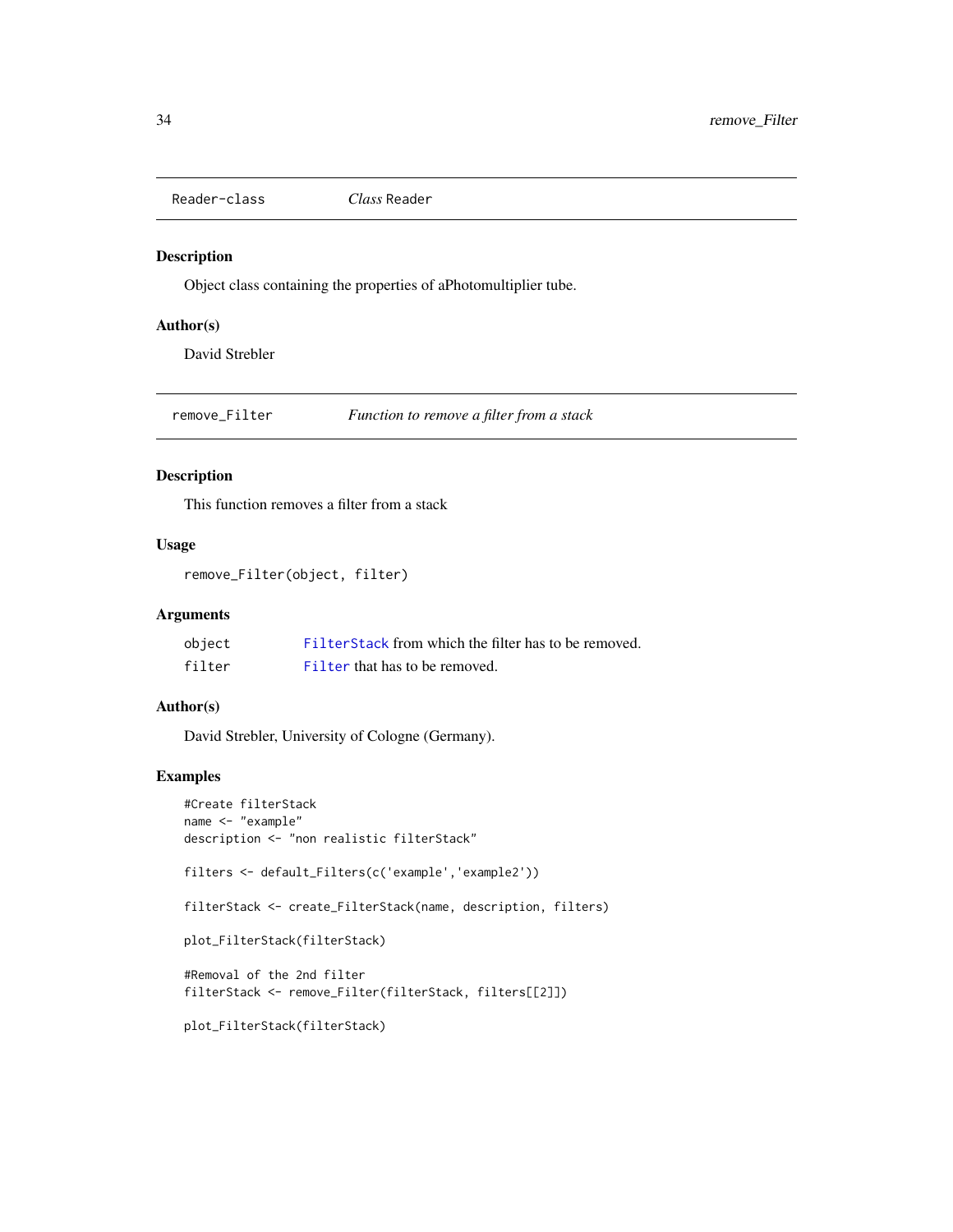<span id="page-33-1"></span><span id="page-33-0"></span>Reader-class *Class* Reader

#### Description

Object class containing the properties of aPhotomultiplier tube.

## Author(s)

David Strebler

remove\_Filter *Function to remove a filter from a stack*

## Description

This function removes a filter from a stack

## Usage

```
remove_Filter(object, filter)
```
## Arguments

| object | Filter Stack from which the filter has to be removed. |
|--------|-------------------------------------------------------|
| filter | Filter that has to be removed.                        |

#### Author(s)

David Strebler, University of Cologne (Germany).

#### Examples

```
#Create filterStack
name <- "example"
description <- "non realistic filterStack"
filters <- default_Filters(c('example','example2'))
filterStack <- create_FilterStack(name, description, filters)
plot_FilterStack(filterStack)
#Removal of the 2nd filter
filterStack <- remove_Filter(filterStack, filters[[2]])
plot_FilterStack(filterStack)
```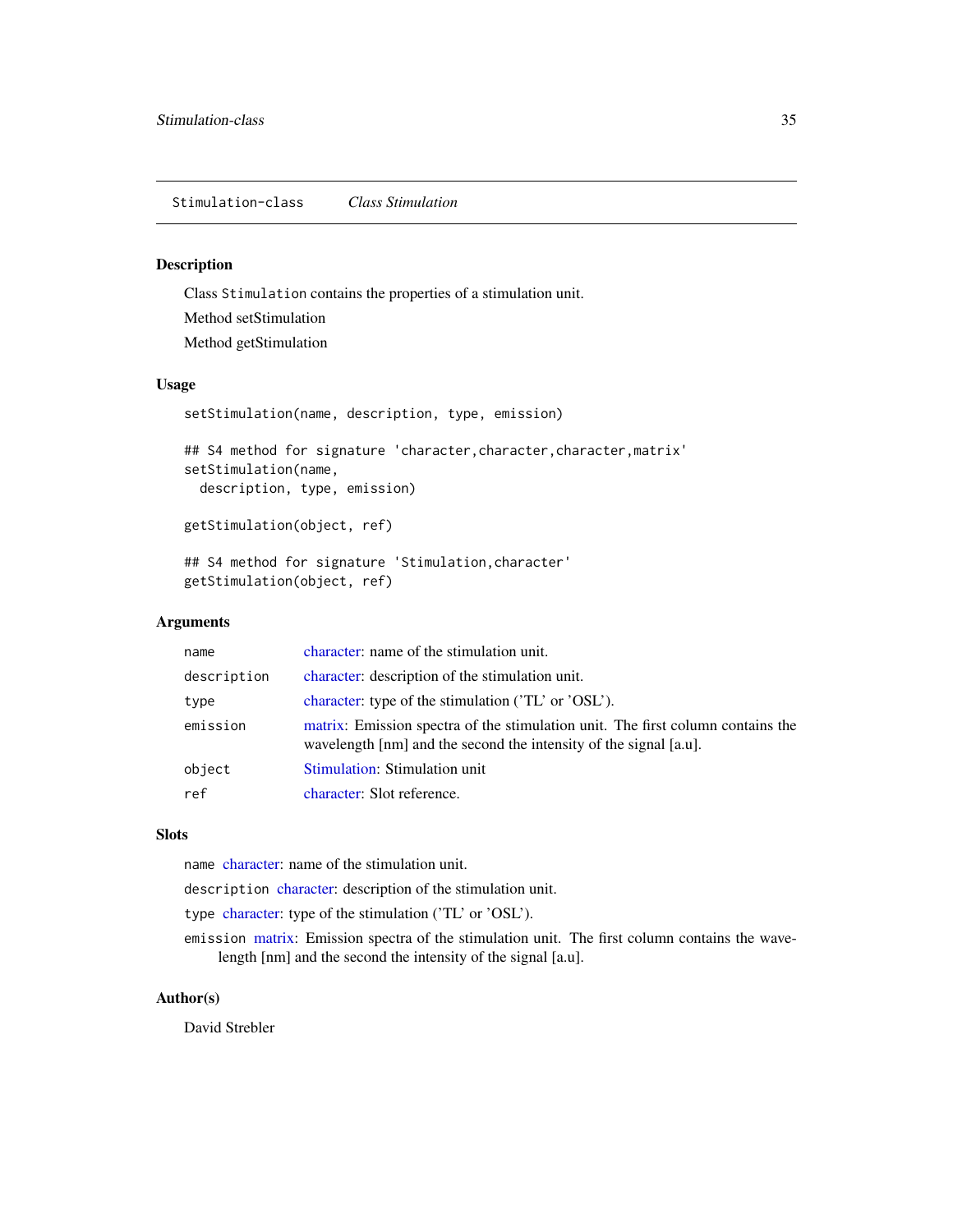## <span id="page-34-1"></span><span id="page-34-0"></span>Description

Class Stimulation contains the properties of a stimulation unit. Method setStimulation Method getStimulation

## Usage

```
setStimulation(name, description, type, emission)
## S4 method for signature 'character,character,character,matrix'
setStimulation(name,
 description, type, emission)
getStimulation(object, ref)
## S4 method for signature 'Stimulation,character'
getStimulation(object, ref)
```
#### Arguments

| name        | character: name of the stimulation unit.                                                                                                             |
|-------------|------------------------------------------------------------------------------------------------------------------------------------------------------|
| description | character: description of the stimulation unit.                                                                                                      |
| type        | character: type of the stimulation ('TL' or 'OSL').                                                                                                  |
| emission    | matrix: Emission spectra of the stimulation unit. The first column contains the<br>wavelength [nm] and the second the intensity of the signal [a.u]. |
| object      | Stimulation: Stimulation unit                                                                                                                        |
| ref         | character: Slot reference.                                                                                                                           |

## **Slots**

name [character:](#page-0-0) name of the stimulation unit.

description [character:](#page-0-0) description of the stimulation unit.

- type [character:](#page-0-0) type of the stimulation ('TL' or 'OSL').
- emission [matrix:](#page-0-0) Emission spectra of the stimulation unit. The first column contains the wavelength [nm] and the second the intensity of the signal [a.u].

#### Author(s)

David Strebler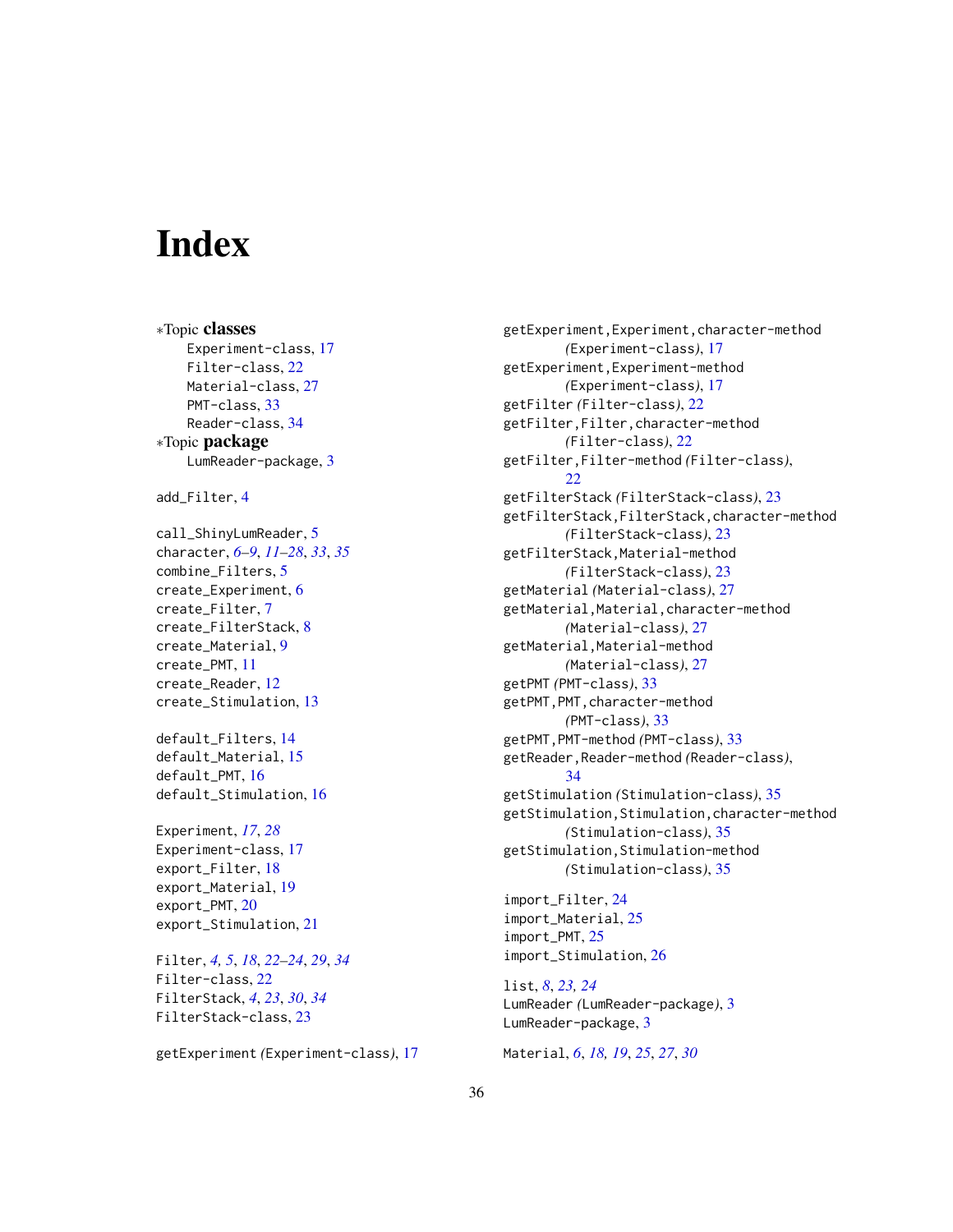# <span id="page-35-0"></span>**Index**

∗Topic classes Experiment-class, [17](#page-16-0) Filter-class, [22](#page-21-0) Material-class, [27](#page-26-0) PMT-class, [33](#page-32-0) Reader-class, [34](#page-33-0) ∗Topic package LumReader-package, [3](#page-2-0)

add\_Filter, [4](#page-3-0)

call\_ShinyLumReader, [5](#page-4-0) character, *[6](#page-5-0)[–9](#page-8-0)*, *[11](#page-10-0)[–28](#page-27-0)*, *[33](#page-32-0)*, *[35](#page-34-0)* combine\_Filters, [5](#page-4-0) create\_Experiment, [6](#page-5-0) create\_Filter, [7](#page-6-0) create\_FilterStack, [8](#page-7-0) create\_Material, [9](#page-8-0) create\_PMT, [11](#page-10-0) create\_Reader, [12](#page-11-0) create\_Stimulation, [13](#page-12-0)

default\_Filters, [14](#page-13-0) default\_Material, [15](#page-14-0) default\_PMT, [16](#page-15-0) default\_Stimulation, [16](#page-15-0)

Experiment, *[17](#page-16-0)*, *[28](#page-27-0)* Experiment-class, [17](#page-16-0) export\_Filter, [18](#page-17-0) export\_Material, [19](#page-18-0) export\_PMT, [20](#page-19-0) export\_Stimulation, [21](#page-20-0)

Filter, *[4,](#page-3-0) [5](#page-4-0)*, *[18](#page-17-0)*, *[22](#page-21-0)[–24](#page-23-0)*, *[29](#page-28-0)*, *[34](#page-33-0)* Filter-class, [22](#page-21-0) FilterStack, *[4](#page-3-0)*, *[23](#page-22-0)*, *[30](#page-29-0)*, *[34](#page-33-0)* FilterStack-class, [23](#page-22-0)

getExperiment *(*Experiment-class*)*, [17](#page-16-0)

getExperiment,Experiment,character-method *(*Experiment-class*)*, [17](#page-16-0) getExperiment,Experiment-method *(*Experiment-class*)*, [17](#page-16-0) getFilter *(*Filter-class*)*, [22](#page-21-0) getFilter,Filter,character-method *(*Filter-class*)*, [22](#page-21-0) getFilter,Filter-method *(*Filter-class*)*, [22](#page-21-0) getFilterStack *(*FilterStack-class*)*, [23](#page-22-0) getFilterStack,FilterStack,character-method *(*FilterStack-class*)*, [23](#page-22-0) getFilterStack,Material-method *(*FilterStack-class*)*, [23](#page-22-0) getMaterial *(*Material-class*)*, [27](#page-26-0) getMaterial, Material, character-method *(*Material-class*)*, [27](#page-26-0) getMaterial,Material-method *(*Material-class*)*, [27](#page-26-0) getPMT *(*PMT-class*)*, [33](#page-32-0) getPMT,PMT,character-method *(*PMT-class*)*, [33](#page-32-0) getPMT,PMT-method *(*PMT-class*)*, [33](#page-32-0) getReader,Reader-method *(*Reader-class*)*, [34](#page-33-0) getStimulation *(*Stimulation-class*)*, [35](#page-34-0) getStimulation,Stimulation,character-method *(*Stimulation-class*)*, [35](#page-34-0) getStimulation,Stimulation-method *(*Stimulation-class*)*, [35](#page-34-0) import\_Filter, [24](#page-23-0)

import\_Material, [25](#page-24-0) import\_PMT, [25](#page-24-0) import\_Stimulation, [26](#page-25-0)

list, *[8](#page-7-0)*, *[23,](#page-22-0) [24](#page-23-0)* LumReader *(*LumReader-package*)*, [3](#page-2-0) LumReader-package, [3](#page-2-0)

Material, *[6](#page-5-0)*, *[18,](#page-17-0) [19](#page-18-0)*, *[25](#page-24-0)*, *[27](#page-26-0)*, *[30](#page-29-0)*